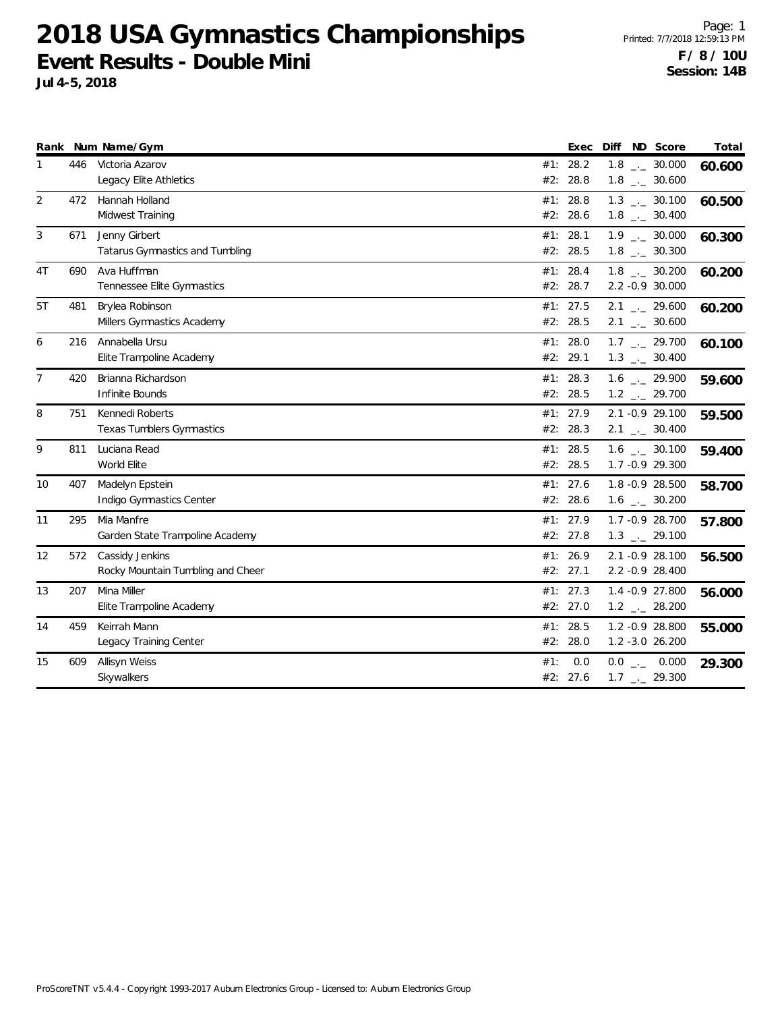|                |     | Rank Num Name/Gym                                    |     | Exec                   | Diff ND Score                                                | Total  |
|----------------|-----|------------------------------------------------------|-----|------------------------|--------------------------------------------------------------|--------|
| 1              | 446 | Victoria Azarov<br>Legacy Elite Athletics            |     | #1: 28.2<br>#2: 28.8   | $1.8$ $_{-}$ 30.000<br>$1.8$ $_{\leftarrow}$ 30.600          | 60.600 |
| 2              | 472 | Hannah Holland<br>Midwest Training                   |     | #1: 28.8<br>#2: 28.6   | $1.3$ $_{\leftarrow}$ 30.100<br>$1.8$ $_{-}$ 30.400          | 60.500 |
| 3              | 671 | Jenny Girbert<br>Tatarus Gymnastics and Tumbling     |     | #1: 28.1<br>#2: 28.5   | $1.9$ $_{\leftarrow}$ 30.000<br>$1.8$ $_{-}$ 30.300          | 60.300 |
| 4T             | 690 | Ava Huffman<br>Tennessee Elite Gymnastics            | #1: | 28.4<br>#2: 28.7       | $1.8$ $_{-1}$ 30.200<br>2.2 -0.9 30.000                      | 60.200 |
| 5T             | 481 | Brylea Robinson<br>Millers Gymnastics Academy        |     | #1: 27.5<br>#2: 28.5   | $2.1$ $_{\leftarrow}$ 29.600<br>$2.1$ $_{-}$ 30.600          | 60.200 |
| 6              | 216 | Annabella Ursu<br>Elite Trampoline Academy           |     | #1: 28.0<br>#2: 29.1   | $1.7$ $_{\leftarrow}$ 29.700<br>$1.3$ $_{\leftarrow}$ 30.400 | 60.100 |
| $\overline{7}$ | 420 | Brianna Richardson<br>Infinite Bounds                |     | #1: 28.3<br>#2: 28.5   | 1.6 $_{\leftarrow}$ 29.900<br>$1.2$ $_{\leftarrow}$ 29.700   | 59.600 |
| 8              | 751 | Kennedi Roberts<br><b>Texas Tumblers Gymnastics</b>  |     | #1: 27.9<br>#2: 28.3   | 2.1 -0.9 29.100<br>$2.1$ $_{-1}$ 30.400                      | 59.500 |
| 9              | 811 | Luciana Read<br>World Elite                          |     | #1: 28.5<br>#2: 28.5   | $1.6$ _ $-30.100$<br>1.7 - 0.9 29.300                        | 59.400 |
| 10             | 407 | Madelyn Epstein<br>Indigo Gymnastics Center          |     | #1: $27.6$<br>#2: 28.6 | 1.8 - 0.9 28.500<br>$1.6$ $_{\leftarrow}$ 30.200             | 58.700 |
| 11             | 295 | Mia Manfre<br>Garden State Trampoline Academy        | #1: | 27.9<br>#2: 27.8       | 1.7 - 0.9 28.700<br>$1.3$ $_{-2}$ 29.100                     | 57.800 |
| 12             | 572 | Cassidy Jenkins<br>Rocky Mountain Tumbling and Cheer |     | #1: 26.9<br>#2: 27.1   | 2.1 -0.9 28.100<br>2.2 -0.9 28.400                           | 56.500 |
| 13             | 207 | Mina Miller<br>Elite Trampoline Academy              |     | #1: 27.3<br>#2: 27.0   | 1.4 - 0.9 27.800<br>$1.2$ $_{-2}$ 28.200                     | 56.000 |
| 14             | 459 | Keirrah Mann<br>Legacy Training Center               |     | #1: 28.5<br>#2: 28.0   | 1.2 - 0.9 28.800<br>1.2 -3.0 26.200                          | 55.000 |
| 15             | 609 | Allisyn Weiss<br>Skywalkers                          | #1: | 0.0<br>#2: 27.6        | $0.0$ _ 0.000<br>$1.7$ $_{\leftarrow}$ 29.300                | 29.300 |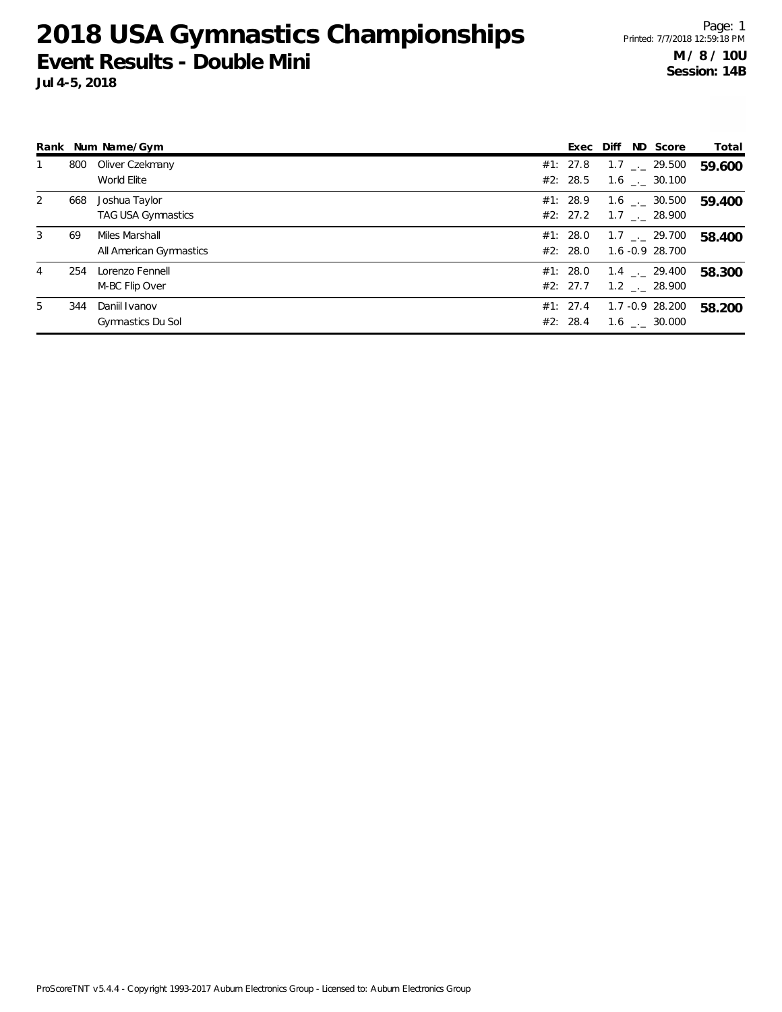|   |     | Rank Num Name/Gym                         |                      | Exec Diff ND Score                                    | Total  |
|---|-----|-------------------------------------------|----------------------|-------------------------------------------------------|--------|
|   | 800 | Oliver Czekmany<br>World Elite            | #1: 27.8<br>#2: 28.5 | $1.7$ $_{\sim}$ 29.500<br>$1.6$ $_{\sim}$ 30.100      | 59.600 |
| 2 | 668 | Joshua Taylor<br>TAG USA Gymnastics       | #1: 28.9             | $1.6$ _._ 30.500<br>#2: 27.2 1.7 $\frac{1}{2}$ 28.900 | 59.400 |
| 3 | 69  | Miles Marshall<br>All American Gymnastics | #1: 28.0<br>#2: 28.0 | $1.7$ $_{\leftarrow}$ 29.700<br>1.6 -0.9 28.700       | 58.400 |
| 4 | 254 | Lorenzo Fennell<br>M-BC Flip Over         | #1: 28.0<br>#2: 27.7 | $1.4$ $_{-1}$ 29.400<br>1.2 . 28.900                  | 58.300 |
| 5 | 344 | Daniil Ivanov<br>Gymnastics Du Sol        | #1: 27.4<br>#2: 28.4 | 1.7 -0.9 28.200<br>$1.6$ $_{-.}$ 30.000               | 58.200 |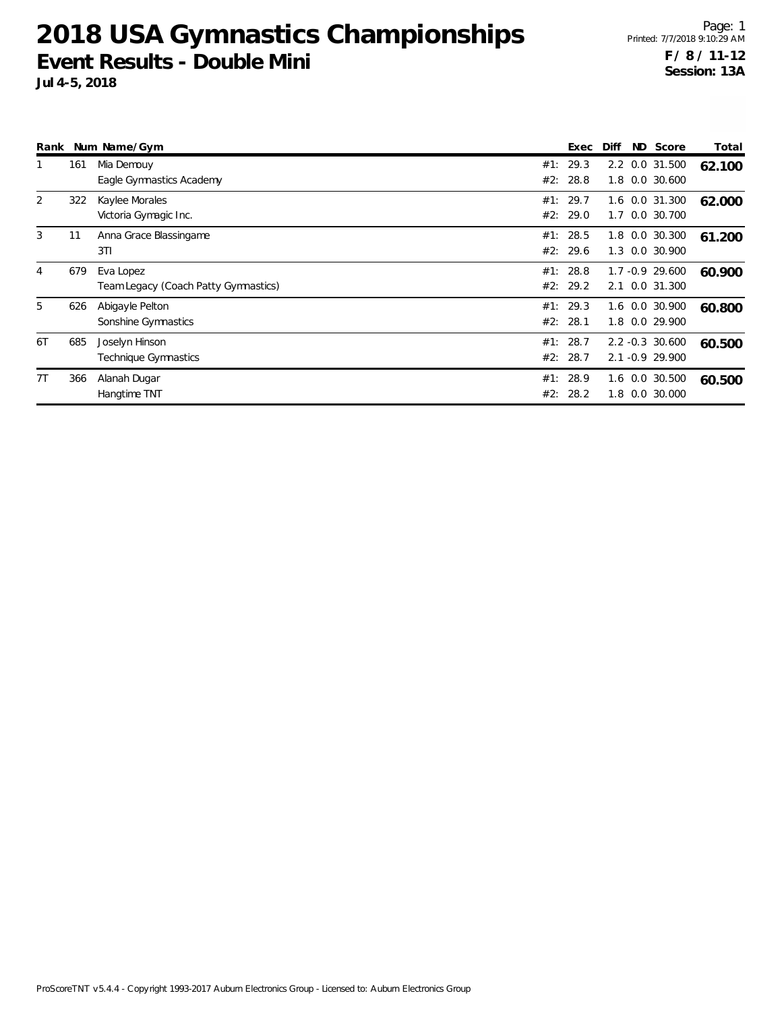| Rank           |     | Num Name/Gym                                      |            | Exec                 | Diff       | ND Score                           | Total  |
|----------------|-----|---------------------------------------------------|------------|----------------------|------------|------------------------------------|--------|
|                | 161 | Mia Demouy<br>Eagle Gymnastics Academy            | #1:<br>#2: | 29.3<br>28.8         | 1.8        | 2.2 0.0 31.500<br>0.0 30.600       | 62.100 |
| 2              | 322 | Kaylee Morales<br>Victoria Gymagic Inc.           | #1:<br>#2: | 29.7<br>29.0         | 1.7        | 1.6 0.0 31.300<br>0.0 30.700       | 62.000 |
| 3              | 11  | Anna Grace Blassingame<br>3T1                     | #2:        | #1: 28.5<br>29.6     | 1.8<br>1.3 | 0.0 30.300<br>0.0 30.900           | 61.200 |
| $\overline{4}$ | 679 | Eva Lopez<br>Team Legacy (Coach Patty Gymnastics) | #1:<br>#2: | 28.8<br>29.2         | 2.1        | 1.7 -0.9 29.600<br>0.0 31.300      | 60.900 |
| 5              | 626 | Abigayle Pelton<br>Sonshine Gymnastics            | #1:<br>#2: | 29.3<br>28.1         | 1.8        | 1.6 0.0 30.900<br>0.0 29.900       | 60.800 |
| 6T             | 685 | Joselyn Hinson<br>Technique Gymnastics            | #1:        | 28.7<br>#2: 28.7     |            | 2.2 -0.3 30.600<br>2.1 -0.9 29.900 | 60.500 |
| 7T             | 366 | Alanah Dugar<br>Hangtime TNT                      |            | #1: 28.9<br>#2: 28.2 | 1.8        | 1.6 0.0 30.500<br>0.0 30.000       | 60.500 |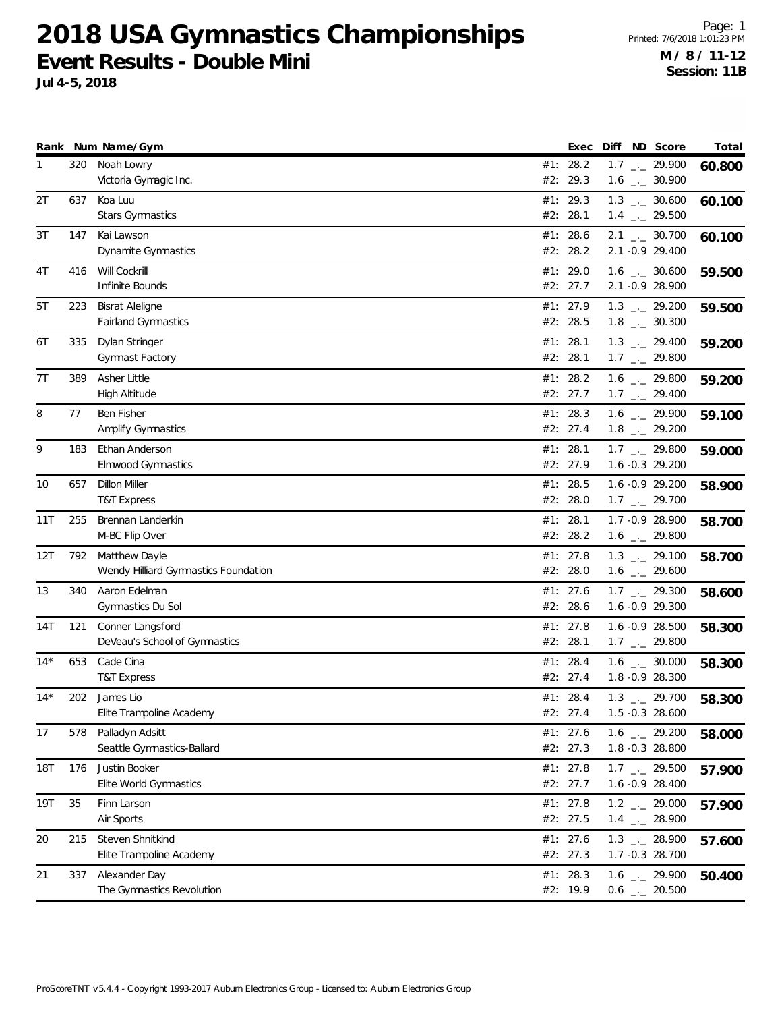| #1: 28.2<br>320<br>Noah Lowry<br>$1.7$ $_{-1}$ 29.900<br>60.800<br>#2: 29.3<br>Victoria Gymagic Inc.<br>$1.6$ $_{\leftarrow}$ 30.900<br>2Τ<br>637<br>Koa Luu<br>#1: 29.3<br>$1.3$ $_{\leftarrow}$ 30.600<br>60.100<br><b>Stars Gymnastics</b><br>#2: 28.1<br>$1.4$ $_{\leftarrow}$ 29.500<br>147<br>Kai Lawson<br>#1: 28.6<br>$2.1$ $_{\leftarrow}$ 30.700<br>3Т<br>60.100<br>#2: 28.2<br>2.1 -0.9 29.400<br>Dynamite Gymnastics<br>Will Cockrill<br>4T<br>416<br>#1: 29.0<br>$1.6$ _ 30.600<br>59.500<br>#2: 27.7<br>2.1 -0.9 28.900<br>Infinite Bounds<br>#1: 27.9<br>5T<br>223<br><b>Bisrat Aleligne</b><br>$1.3$ $_{\leftarrow}$ 29.200<br>59.500<br><b>Fairland Gymnastics</b><br>#2: 28.5<br>$1.8$ $_{-}$ 30.300<br>#1: 28.1<br>$1.3$ $_{-}$ 29.400<br>6T<br>335<br>Dylan Stringer<br>59.200<br>Gymnast Factory<br>#2: 28.1<br>$1.7$ $_{\leftarrow}$ 29.800<br>Asher Little<br>7T<br>389<br>#1: 28.2<br>$1.6$ $_{\leftarrow}$ 29.800<br>59.200<br>#2: 27.7<br>$1.7$ $_{\leftarrow}$ 29.400<br>High Altitude<br>Ben Fisher<br>#1: 28.3<br>$1.6$ - 29.900<br>8<br>77<br>59.100<br>Amplify Gymnastics<br>#2: 27.4<br>$1.8$ $_{\leftarrow}$ 29.200<br>9<br>Ethan Anderson<br>#1: 28.1<br>183<br>$1.7$ $_{\leftarrow}$ 29.800<br>59.000<br>#2: 27.9<br><b>Elmwood Gymnastics</b><br>$1.6 - 0.3$ 29.200<br>10<br>657<br><b>Dillon Miller</b><br>#1: 28.5<br>1.6 -0.9 29.200<br>58.900<br>#2: 28.0<br>$1.7$ $_{-1}$ 29.700<br>T&T Express<br>#1: 28.1<br>11T<br>255<br>Brennan Landerkin<br>1.7 -0.9 28.900<br>58.700<br>M-BC Flip Over<br>#2: 28.2<br>$1.6$ $_{\leftarrow}$ 29.800<br>Matthew Dayle<br>#1: $27.8$<br>$1.3$ $_{\leftarrow}$ 29.100<br>12T<br>792<br>58.700<br>#2: 28.0<br>Wendy Hilliard Gymnastics Foundation<br>$1.6$ $_{\leftarrow}$ 29.600<br>Aaron Edelman<br>#1: 27.6<br>13<br>340<br>$1.7$ $_{\leftarrow}$ 29.300<br>58.600<br>Gymnastics Du Sol<br>#2: 28.6<br>1.6 -0.9 29.300<br>121<br>#1: 27.8<br>14T<br>Conner Langsford<br>$1.6 -0.9$ 28.500<br>58.300<br>#2: 28.1<br>DeVeau's School of Gymnastics<br>$1.7$ $_{\leftarrow}$ 29.800<br>$14*$<br>Cade Cina<br>$1.6$ $_{\leftarrow}$ 30.000<br>653<br>#1: 28.4<br>58.300<br>1.8 - 0.9 28.300<br><b>T&amp;T Express</b><br>#2: 27.4<br>$14*$<br>202<br>James Lio<br>#1: 28.4<br>$1.3$ $_{\leftarrow}$ 29.700<br>58.300<br>Elite Trampoline Academy<br>#2: 27.4<br>1.5 -0.3 28.600<br>Palladyn Adsitt<br>#1: 27.6<br>$1.6$ $_{-1}$ 29.200<br>17<br>578<br>58.000<br>Seattle Gymnastics-Ballard<br>#2: 27.3<br>1.8 -0.3 28.800<br>$1.7$ $_{\leftarrow}$ 29.500<br><b>18T</b><br>176<br>Justin Booker<br>#1: $27.8$<br>57.900<br>Elite World Gymnastics<br>#2: 27.7<br>1.6 -0.9 28.400<br>35<br>Finn Larson<br>#1: 27.8<br>19T<br>$1.2$ $_{\leftarrow}$ 29.000<br>57.900<br>Air Sports<br>#2: 27.5<br>$1.4$ $_{-1}$ 28.900<br>Steven Shnitkind<br>$1.3$ $_{-}$ 28.900<br>215<br>#1: 27.6<br>20<br>57.600<br>#2: 27.3<br>1.7 -0.3 28.700<br>Elite Trampoline Academy<br>Alexander Day<br>#1: 28.3<br>21<br>337<br>$1.6$ $_{\leftarrow}$ 29.900<br>50.400<br>The Gymnastics Revolution<br>#2: 19.9<br>$0.6$ $_{\leftarrow}$ 20.500 |  | Rank Num Name/Gym | Exec | Diff ND Score | Total |
|--------------------------------------------------------------------------------------------------------------------------------------------------------------------------------------------------------------------------------------------------------------------------------------------------------------------------------------------------------------------------------------------------------------------------------------------------------------------------------------------------------------------------------------------------------------------------------------------------------------------------------------------------------------------------------------------------------------------------------------------------------------------------------------------------------------------------------------------------------------------------------------------------------------------------------------------------------------------------------------------------------------------------------------------------------------------------------------------------------------------------------------------------------------------------------------------------------------------------------------------------------------------------------------------------------------------------------------------------------------------------------------------------------------------------------------------------------------------------------------------------------------------------------------------------------------------------------------------------------------------------------------------------------------------------------------------------------------------------------------------------------------------------------------------------------------------------------------------------------------------------------------------------------------------------------------------------------------------------------------------------------------------------------------------------------------------------------------------------------------------------------------------------------------------------------------------------------------------------------------------------------------------------------------------------------------------------------------------------------------------------------------------------------------------------------------------------------------------------------------------------------------------------------------------------------------------------------------------------------------------------------------------------------------------------------------------------------------------------------------------------------------------------------------------------------------------------------------------------------------------------------------------------------------------------------------------------------------------------------------------------------------------------------------------------------------------------------------------------------|--|-------------------|------|---------------|-------|
|                                                                                                                                                                                                                                                                                                                                                                                                                                                                                                                                                                                                                                                                                                                                                                                                                                                                                                                                                                                                                                                                                                                                                                                                                                                                                                                                                                                                                                                                                                                                                                                                                                                                                                                                                                                                                                                                                                                                                                                                                                                                                                                                                                                                                                                                                                                                                                                                                                                                                                                                                                                                                                                                                                                                                                                                                                                                                                                                                                                                                                                                                                        |  |                   |      |               |       |
|                                                                                                                                                                                                                                                                                                                                                                                                                                                                                                                                                                                                                                                                                                                                                                                                                                                                                                                                                                                                                                                                                                                                                                                                                                                                                                                                                                                                                                                                                                                                                                                                                                                                                                                                                                                                                                                                                                                                                                                                                                                                                                                                                                                                                                                                                                                                                                                                                                                                                                                                                                                                                                                                                                                                                                                                                                                                                                                                                                                                                                                                                                        |  |                   |      |               |       |
|                                                                                                                                                                                                                                                                                                                                                                                                                                                                                                                                                                                                                                                                                                                                                                                                                                                                                                                                                                                                                                                                                                                                                                                                                                                                                                                                                                                                                                                                                                                                                                                                                                                                                                                                                                                                                                                                                                                                                                                                                                                                                                                                                                                                                                                                                                                                                                                                                                                                                                                                                                                                                                                                                                                                                                                                                                                                                                                                                                                                                                                                                                        |  |                   |      |               |       |
|                                                                                                                                                                                                                                                                                                                                                                                                                                                                                                                                                                                                                                                                                                                                                                                                                                                                                                                                                                                                                                                                                                                                                                                                                                                                                                                                                                                                                                                                                                                                                                                                                                                                                                                                                                                                                                                                                                                                                                                                                                                                                                                                                                                                                                                                                                                                                                                                                                                                                                                                                                                                                                                                                                                                                                                                                                                                                                                                                                                                                                                                                                        |  |                   |      |               |       |
|                                                                                                                                                                                                                                                                                                                                                                                                                                                                                                                                                                                                                                                                                                                                                                                                                                                                                                                                                                                                                                                                                                                                                                                                                                                                                                                                                                                                                                                                                                                                                                                                                                                                                                                                                                                                                                                                                                                                                                                                                                                                                                                                                                                                                                                                                                                                                                                                                                                                                                                                                                                                                                                                                                                                                                                                                                                                                                                                                                                                                                                                                                        |  |                   |      |               |       |
|                                                                                                                                                                                                                                                                                                                                                                                                                                                                                                                                                                                                                                                                                                                                                                                                                                                                                                                                                                                                                                                                                                                                                                                                                                                                                                                                                                                                                                                                                                                                                                                                                                                                                                                                                                                                                                                                                                                                                                                                                                                                                                                                                                                                                                                                                                                                                                                                                                                                                                                                                                                                                                                                                                                                                                                                                                                                                                                                                                                                                                                                                                        |  |                   |      |               |       |
|                                                                                                                                                                                                                                                                                                                                                                                                                                                                                                                                                                                                                                                                                                                                                                                                                                                                                                                                                                                                                                                                                                                                                                                                                                                                                                                                                                                                                                                                                                                                                                                                                                                                                                                                                                                                                                                                                                                                                                                                                                                                                                                                                                                                                                                                                                                                                                                                                                                                                                                                                                                                                                                                                                                                                                                                                                                                                                                                                                                                                                                                                                        |  |                   |      |               |       |
|                                                                                                                                                                                                                                                                                                                                                                                                                                                                                                                                                                                                                                                                                                                                                                                                                                                                                                                                                                                                                                                                                                                                                                                                                                                                                                                                                                                                                                                                                                                                                                                                                                                                                                                                                                                                                                                                                                                                                                                                                                                                                                                                                                                                                                                                                                                                                                                                                                                                                                                                                                                                                                                                                                                                                                                                                                                                                                                                                                                                                                                                                                        |  |                   |      |               |       |
|                                                                                                                                                                                                                                                                                                                                                                                                                                                                                                                                                                                                                                                                                                                                                                                                                                                                                                                                                                                                                                                                                                                                                                                                                                                                                                                                                                                                                                                                                                                                                                                                                                                                                                                                                                                                                                                                                                                                                                                                                                                                                                                                                                                                                                                                                                                                                                                                                                                                                                                                                                                                                                                                                                                                                                                                                                                                                                                                                                                                                                                                                                        |  |                   |      |               |       |
|                                                                                                                                                                                                                                                                                                                                                                                                                                                                                                                                                                                                                                                                                                                                                                                                                                                                                                                                                                                                                                                                                                                                                                                                                                                                                                                                                                                                                                                                                                                                                                                                                                                                                                                                                                                                                                                                                                                                                                                                                                                                                                                                                                                                                                                                                                                                                                                                                                                                                                                                                                                                                                                                                                                                                                                                                                                                                                                                                                                                                                                                                                        |  |                   |      |               |       |
|                                                                                                                                                                                                                                                                                                                                                                                                                                                                                                                                                                                                                                                                                                                                                                                                                                                                                                                                                                                                                                                                                                                                                                                                                                                                                                                                                                                                                                                                                                                                                                                                                                                                                                                                                                                                                                                                                                                                                                                                                                                                                                                                                                                                                                                                                                                                                                                                                                                                                                                                                                                                                                                                                                                                                                                                                                                                                                                                                                                                                                                                                                        |  |                   |      |               |       |
|                                                                                                                                                                                                                                                                                                                                                                                                                                                                                                                                                                                                                                                                                                                                                                                                                                                                                                                                                                                                                                                                                                                                                                                                                                                                                                                                                                                                                                                                                                                                                                                                                                                                                                                                                                                                                                                                                                                                                                                                                                                                                                                                                                                                                                                                                                                                                                                                                                                                                                                                                                                                                                                                                                                                                                                                                                                                                                                                                                                                                                                                                                        |  |                   |      |               |       |
|                                                                                                                                                                                                                                                                                                                                                                                                                                                                                                                                                                                                                                                                                                                                                                                                                                                                                                                                                                                                                                                                                                                                                                                                                                                                                                                                                                                                                                                                                                                                                                                                                                                                                                                                                                                                                                                                                                                                                                                                                                                                                                                                                                                                                                                                                                                                                                                                                                                                                                                                                                                                                                                                                                                                                                                                                                                                                                                                                                                                                                                                                                        |  |                   |      |               |       |
|                                                                                                                                                                                                                                                                                                                                                                                                                                                                                                                                                                                                                                                                                                                                                                                                                                                                                                                                                                                                                                                                                                                                                                                                                                                                                                                                                                                                                                                                                                                                                                                                                                                                                                                                                                                                                                                                                                                                                                                                                                                                                                                                                                                                                                                                                                                                                                                                                                                                                                                                                                                                                                                                                                                                                                                                                                                                                                                                                                                                                                                                                                        |  |                   |      |               |       |
|                                                                                                                                                                                                                                                                                                                                                                                                                                                                                                                                                                                                                                                                                                                                                                                                                                                                                                                                                                                                                                                                                                                                                                                                                                                                                                                                                                                                                                                                                                                                                                                                                                                                                                                                                                                                                                                                                                                                                                                                                                                                                                                                                                                                                                                                                                                                                                                                                                                                                                                                                                                                                                                                                                                                                                                                                                                                                                                                                                                                                                                                                                        |  |                   |      |               |       |
|                                                                                                                                                                                                                                                                                                                                                                                                                                                                                                                                                                                                                                                                                                                                                                                                                                                                                                                                                                                                                                                                                                                                                                                                                                                                                                                                                                                                                                                                                                                                                                                                                                                                                                                                                                                                                                                                                                                                                                                                                                                                                                                                                                                                                                                                                                                                                                                                                                                                                                                                                                                                                                                                                                                                                                                                                                                                                                                                                                                                                                                                                                        |  |                   |      |               |       |
|                                                                                                                                                                                                                                                                                                                                                                                                                                                                                                                                                                                                                                                                                                                                                                                                                                                                                                                                                                                                                                                                                                                                                                                                                                                                                                                                                                                                                                                                                                                                                                                                                                                                                                                                                                                                                                                                                                                                                                                                                                                                                                                                                                                                                                                                                                                                                                                                                                                                                                                                                                                                                                                                                                                                                                                                                                                                                                                                                                                                                                                                                                        |  |                   |      |               |       |
|                                                                                                                                                                                                                                                                                                                                                                                                                                                                                                                                                                                                                                                                                                                                                                                                                                                                                                                                                                                                                                                                                                                                                                                                                                                                                                                                                                                                                                                                                                                                                                                                                                                                                                                                                                                                                                                                                                                                                                                                                                                                                                                                                                                                                                                                                                                                                                                                                                                                                                                                                                                                                                                                                                                                                                                                                                                                                                                                                                                                                                                                                                        |  |                   |      |               |       |
|                                                                                                                                                                                                                                                                                                                                                                                                                                                                                                                                                                                                                                                                                                                                                                                                                                                                                                                                                                                                                                                                                                                                                                                                                                                                                                                                                                                                                                                                                                                                                                                                                                                                                                                                                                                                                                                                                                                                                                                                                                                                                                                                                                                                                                                                                                                                                                                                                                                                                                                                                                                                                                                                                                                                                                                                                                                                                                                                                                                                                                                                                                        |  |                   |      |               |       |
|                                                                                                                                                                                                                                                                                                                                                                                                                                                                                                                                                                                                                                                                                                                                                                                                                                                                                                                                                                                                                                                                                                                                                                                                                                                                                                                                                                                                                                                                                                                                                                                                                                                                                                                                                                                                                                                                                                                                                                                                                                                                                                                                                                                                                                                                                                                                                                                                                                                                                                                                                                                                                                                                                                                                                                                                                                                                                                                                                                                                                                                                                                        |  |                   |      |               |       |
|                                                                                                                                                                                                                                                                                                                                                                                                                                                                                                                                                                                                                                                                                                                                                                                                                                                                                                                                                                                                                                                                                                                                                                                                                                                                                                                                                                                                                                                                                                                                                                                                                                                                                                                                                                                                                                                                                                                                                                                                                                                                                                                                                                                                                                                                                                                                                                                                                                                                                                                                                                                                                                                                                                                                                                                                                                                                                                                                                                                                                                                                                                        |  |                   |      |               |       |
|                                                                                                                                                                                                                                                                                                                                                                                                                                                                                                                                                                                                                                                                                                                                                                                                                                                                                                                                                                                                                                                                                                                                                                                                                                                                                                                                                                                                                                                                                                                                                                                                                                                                                                                                                                                                                                                                                                                                                                                                                                                                                                                                                                                                                                                                                                                                                                                                                                                                                                                                                                                                                                                                                                                                                                                                                                                                                                                                                                                                                                                                                                        |  |                   |      |               |       |
|                                                                                                                                                                                                                                                                                                                                                                                                                                                                                                                                                                                                                                                                                                                                                                                                                                                                                                                                                                                                                                                                                                                                                                                                                                                                                                                                                                                                                                                                                                                                                                                                                                                                                                                                                                                                                                                                                                                                                                                                                                                                                                                                                                                                                                                                                                                                                                                                                                                                                                                                                                                                                                                                                                                                                                                                                                                                                                                                                                                                                                                                                                        |  |                   |      |               |       |
|                                                                                                                                                                                                                                                                                                                                                                                                                                                                                                                                                                                                                                                                                                                                                                                                                                                                                                                                                                                                                                                                                                                                                                                                                                                                                                                                                                                                                                                                                                                                                                                                                                                                                                                                                                                                                                                                                                                                                                                                                                                                                                                                                                                                                                                                                                                                                                                                                                                                                                                                                                                                                                                                                                                                                                                                                                                                                                                                                                                                                                                                                                        |  |                   |      |               |       |
|                                                                                                                                                                                                                                                                                                                                                                                                                                                                                                                                                                                                                                                                                                                                                                                                                                                                                                                                                                                                                                                                                                                                                                                                                                                                                                                                                                                                                                                                                                                                                                                                                                                                                                                                                                                                                                                                                                                                                                                                                                                                                                                                                                                                                                                                                                                                                                                                                                                                                                                                                                                                                                                                                                                                                                                                                                                                                                                                                                                                                                                                                                        |  |                   |      |               |       |
|                                                                                                                                                                                                                                                                                                                                                                                                                                                                                                                                                                                                                                                                                                                                                                                                                                                                                                                                                                                                                                                                                                                                                                                                                                                                                                                                                                                                                                                                                                                                                                                                                                                                                                                                                                                                                                                                                                                                                                                                                                                                                                                                                                                                                                                                                                                                                                                                                                                                                                                                                                                                                                                                                                                                                                                                                                                                                                                                                                                                                                                                                                        |  |                   |      |               |       |
|                                                                                                                                                                                                                                                                                                                                                                                                                                                                                                                                                                                                                                                                                                                                                                                                                                                                                                                                                                                                                                                                                                                                                                                                                                                                                                                                                                                                                                                                                                                                                                                                                                                                                                                                                                                                                                                                                                                                                                                                                                                                                                                                                                                                                                                                                                                                                                                                                                                                                                                                                                                                                                                                                                                                                                                                                                                                                                                                                                                                                                                                                                        |  |                   |      |               |       |
|                                                                                                                                                                                                                                                                                                                                                                                                                                                                                                                                                                                                                                                                                                                                                                                                                                                                                                                                                                                                                                                                                                                                                                                                                                                                                                                                                                                                                                                                                                                                                                                                                                                                                                                                                                                                                                                                                                                                                                                                                                                                                                                                                                                                                                                                                                                                                                                                                                                                                                                                                                                                                                                                                                                                                                                                                                                                                                                                                                                                                                                                                                        |  |                   |      |               |       |
|                                                                                                                                                                                                                                                                                                                                                                                                                                                                                                                                                                                                                                                                                                                                                                                                                                                                                                                                                                                                                                                                                                                                                                                                                                                                                                                                                                                                                                                                                                                                                                                                                                                                                                                                                                                                                                                                                                                                                                                                                                                                                                                                                                                                                                                                                                                                                                                                                                                                                                                                                                                                                                                                                                                                                                                                                                                                                                                                                                                                                                                                                                        |  |                   |      |               |       |
|                                                                                                                                                                                                                                                                                                                                                                                                                                                                                                                                                                                                                                                                                                                                                                                                                                                                                                                                                                                                                                                                                                                                                                                                                                                                                                                                                                                                                                                                                                                                                                                                                                                                                                                                                                                                                                                                                                                                                                                                                                                                                                                                                                                                                                                                                                                                                                                                                                                                                                                                                                                                                                                                                                                                                                                                                                                                                                                                                                                                                                                                                                        |  |                   |      |               |       |
|                                                                                                                                                                                                                                                                                                                                                                                                                                                                                                                                                                                                                                                                                                                                                                                                                                                                                                                                                                                                                                                                                                                                                                                                                                                                                                                                                                                                                                                                                                                                                                                                                                                                                                                                                                                                                                                                                                                                                                                                                                                                                                                                                                                                                                                                                                                                                                                                                                                                                                                                                                                                                                                                                                                                                                                                                                                                                                                                                                                                                                                                                                        |  |                   |      |               |       |
|                                                                                                                                                                                                                                                                                                                                                                                                                                                                                                                                                                                                                                                                                                                                                                                                                                                                                                                                                                                                                                                                                                                                                                                                                                                                                                                                                                                                                                                                                                                                                                                                                                                                                                                                                                                                                                                                                                                                                                                                                                                                                                                                                                                                                                                                                                                                                                                                                                                                                                                                                                                                                                                                                                                                                                                                                                                                                                                                                                                                                                                                                                        |  |                   |      |               |       |
|                                                                                                                                                                                                                                                                                                                                                                                                                                                                                                                                                                                                                                                                                                                                                                                                                                                                                                                                                                                                                                                                                                                                                                                                                                                                                                                                                                                                                                                                                                                                                                                                                                                                                                                                                                                                                                                                                                                                                                                                                                                                                                                                                                                                                                                                                                                                                                                                                                                                                                                                                                                                                                                                                                                                                                                                                                                                                                                                                                                                                                                                                                        |  |                   |      |               |       |
|                                                                                                                                                                                                                                                                                                                                                                                                                                                                                                                                                                                                                                                                                                                                                                                                                                                                                                                                                                                                                                                                                                                                                                                                                                                                                                                                                                                                                                                                                                                                                                                                                                                                                                                                                                                                                                                                                                                                                                                                                                                                                                                                                                                                                                                                                                                                                                                                                                                                                                                                                                                                                                                                                                                                                                                                                                                                                                                                                                                                                                                                                                        |  |                   |      |               |       |
|                                                                                                                                                                                                                                                                                                                                                                                                                                                                                                                                                                                                                                                                                                                                                                                                                                                                                                                                                                                                                                                                                                                                                                                                                                                                                                                                                                                                                                                                                                                                                                                                                                                                                                                                                                                                                                                                                                                                                                                                                                                                                                                                                                                                                                                                                                                                                                                                                                                                                                                                                                                                                                                                                                                                                                                                                                                                                                                                                                                                                                                                                                        |  |                   |      |               |       |
|                                                                                                                                                                                                                                                                                                                                                                                                                                                                                                                                                                                                                                                                                                                                                                                                                                                                                                                                                                                                                                                                                                                                                                                                                                                                                                                                                                                                                                                                                                                                                                                                                                                                                                                                                                                                                                                                                                                                                                                                                                                                                                                                                                                                                                                                                                                                                                                                                                                                                                                                                                                                                                                                                                                                                                                                                                                                                                                                                                                                                                                                                                        |  |                   |      |               |       |
|                                                                                                                                                                                                                                                                                                                                                                                                                                                                                                                                                                                                                                                                                                                                                                                                                                                                                                                                                                                                                                                                                                                                                                                                                                                                                                                                                                                                                                                                                                                                                                                                                                                                                                                                                                                                                                                                                                                                                                                                                                                                                                                                                                                                                                                                                                                                                                                                                                                                                                                                                                                                                                                                                                                                                                                                                                                                                                                                                                                                                                                                                                        |  |                   |      |               |       |
|                                                                                                                                                                                                                                                                                                                                                                                                                                                                                                                                                                                                                                                                                                                                                                                                                                                                                                                                                                                                                                                                                                                                                                                                                                                                                                                                                                                                                                                                                                                                                                                                                                                                                                                                                                                                                                                                                                                                                                                                                                                                                                                                                                                                                                                                                                                                                                                                                                                                                                                                                                                                                                                                                                                                                                                                                                                                                                                                                                                                                                                                                                        |  |                   |      |               |       |
|                                                                                                                                                                                                                                                                                                                                                                                                                                                                                                                                                                                                                                                                                                                                                                                                                                                                                                                                                                                                                                                                                                                                                                                                                                                                                                                                                                                                                                                                                                                                                                                                                                                                                                                                                                                                                                                                                                                                                                                                                                                                                                                                                                                                                                                                                                                                                                                                                                                                                                                                                                                                                                                                                                                                                                                                                                                                                                                                                                                                                                                                                                        |  |                   |      |               |       |
|                                                                                                                                                                                                                                                                                                                                                                                                                                                                                                                                                                                                                                                                                                                                                                                                                                                                                                                                                                                                                                                                                                                                                                                                                                                                                                                                                                                                                                                                                                                                                                                                                                                                                                                                                                                                                                                                                                                                                                                                                                                                                                                                                                                                                                                                                                                                                                                                                                                                                                                                                                                                                                                                                                                                                                                                                                                                                                                                                                                                                                                                                                        |  |                   |      |               |       |
|                                                                                                                                                                                                                                                                                                                                                                                                                                                                                                                                                                                                                                                                                                                                                                                                                                                                                                                                                                                                                                                                                                                                                                                                                                                                                                                                                                                                                                                                                                                                                                                                                                                                                                                                                                                                                                                                                                                                                                                                                                                                                                                                                                                                                                                                                                                                                                                                                                                                                                                                                                                                                                                                                                                                                                                                                                                                                                                                                                                                                                                                                                        |  |                   |      |               |       |
|                                                                                                                                                                                                                                                                                                                                                                                                                                                                                                                                                                                                                                                                                                                                                                                                                                                                                                                                                                                                                                                                                                                                                                                                                                                                                                                                                                                                                                                                                                                                                                                                                                                                                                                                                                                                                                                                                                                                                                                                                                                                                                                                                                                                                                                                                                                                                                                                                                                                                                                                                                                                                                                                                                                                                                                                                                                                                                                                                                                                                                                                                                        |  |                   |      |               |       |
|                                                                                                                                                                                                                                                                                                                                                                                                                                                                                                                                                                                                                                                                                                                                                                                                                                                                                                                                                                                                                                                                                                                                                                                                                                                                                                                                                                                                                                                                                                                                                                                                                                                                                                                                                                                                                                                                                                                                                                                                                                                                                                                                                                                                                                                                                                                                                                                                                                                                                                                                                                                                                                                                                                                                                                                                                                                                                                                                                                                                                                                                                                        |  |                   |      |               |       |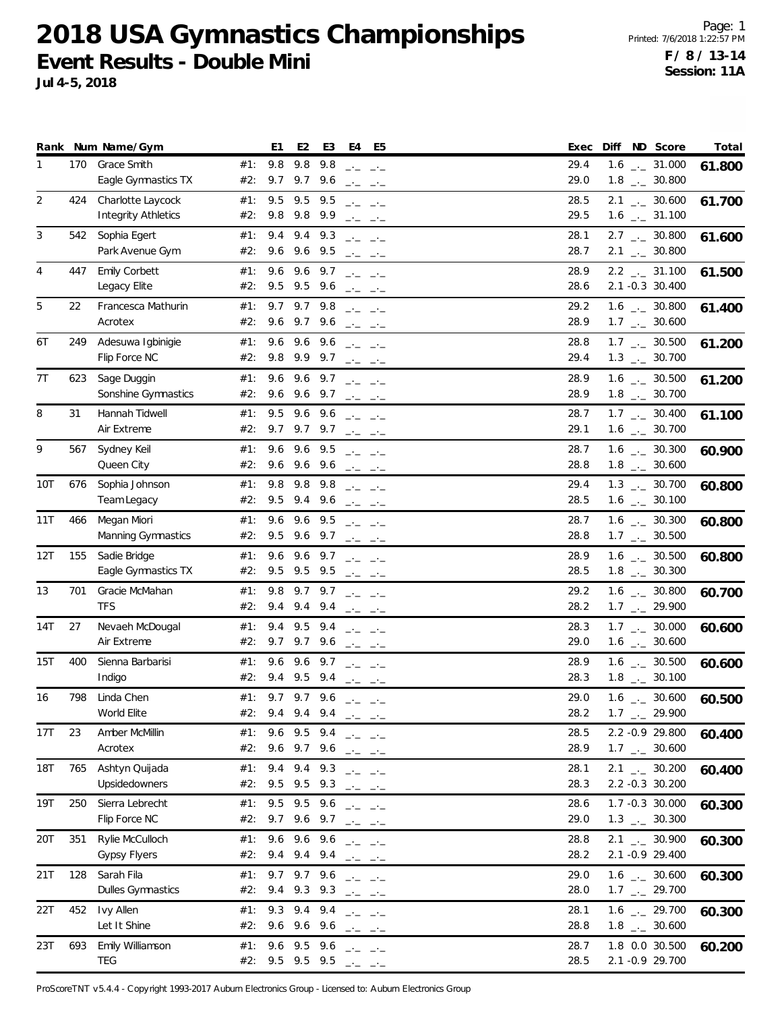**Jul 4-5, 2018**

|                |     | Rank Num Name/Gym                               |            | E <sub>1</sub><br>E <sub>2</sub>                                      | E3                 | E4                                                                                                                                                                                                                                                                                                                                                                                                                                                                                                                                                                                                                                                                                                                                                                                           | E5              | Exec         | Diff ND Score                                                | Total  |
|----------------|-----|-------------------------------------------------|------------|-----------------------------------------------------------------------|--------------------|----------------------------------------------------------------------------------------------------------------------------------------------------------------------------------------------------------------------------------------------------------------------------------------------------------------------------------------------------------------------------------------------------------------------------------------------------------------------------------------------------------------------------------------------------------------------------------------------------------------------------------------------------------------------------------------------------------------------------------------------------------------------------------------------|-----------------|--------------|--------------------------------------------------------------|--------|
| $\mathbf{1}$   | 170 | <b>Grace Smith</b><br>Eagle Gymnastics TX       | #1:<br>#2: | 9.8<br>9.8<br>9.7 9.7 9.6                                             | 9.8                | $\frac{1}{2} \frac{1}{2} \frac{1}{2} \frac{1}{2} \frac{1}{2} \frac{1}{2} \frac{1}{2} \frac{1}{2} \frac{1}{2} \frac{1}{2} \frac{1}{2} \frac{1}{2} \frac{1}{2} \frac{1}{2} \frac{1}{2} \frac{1}{2} \frac{1}{2} \frac{1}{2} \frac{1}{2} \frac{1}{2} \frac{1}{2} \frac{1}{2} \frac{1}{2} \frac{1}{2} \frac{1}{2} \frac{1}{2} \frac{1}{2} \frac{1}{2} \frac{1}{2} \frac{1}{2} \frac{1}{2} \frac{$<br>ساحت الساحت                                                                                                                                                                                                                                                                                                                                                                                  |                 | 29.4<br>29.0 | $1.6$ $_{\leftarrow}$ 31.000<br>$1.8$ $_{\leftarrow}$ 30.800 | 61.800 |
| 2              | 424 | Charlotte Laycock<br><b>Integrity Athletics</b> | #1:<br>#2: | 9.5<br>9.8 9.8 9.9                                                    | 9.5 9.5            | $\frac{1}{2} \frac{1}{2} \frac{1}{2} \frac{1}{2} \frac{1}{2} \frac{1}{2} \frac{1}{2} \frac{1}{2} \frac{1}{2} \frac{1}{2} \frac{1}{2} \frac{1}{2} \frac{1}{2} \frac{1}{2} \frac{1}{2} \frac{1}{2} \frac{1}{2} \frac{1}{2} \frac{1}{2} \frac{1}{2} \frac{1}{2} \frac{1}{2} \frac{1}{2} \frac{1}{2} \frac{1}{2} \frac{1}{2} \frac{1}{2} \frac{1}{2} \frac{1}{2} \frac{1}{2} \frac{1}{2} \frac{$<br>$\rightarrow$ $\rightarrow$                                                                                                                                                                                                                                                                                                                                                                  | $\rightarrow -$ | 28.5<br>29.5 | $2.1$ $_{-1}$ 30.600<br>$1.6$ $_{\leftarrow}$ 31.100         | 61.700 |
| 3              | 542 | Sophia Egert<br>Park Avenue Gym                 | #1:<br>#2: | 9.4<br>9.4<br>9.6 9.6 9.5                                             | 9.3                | $\frac{1}{2} \frac{1}{2} \frac{1}{2} \frac{1}{2} \frac{1}{2} \frac{1}{2} \frac{1}{2} \frac{1}{2} \frac{1}{2} \frac{1}{2} \frac{1}{2} \frac{1}{2} \frac{1}{2} \frac{1}{2} \frac{1}{2} \frac{1}{2} \frac{1}{2} \frac{1}{2} \frac{1}{2} \frac{1}{2} \frac{1}{2} \frac{1}{2} \frac{1}{2} \frac{1}{2} \frac{1}{2} \frac{1}{2} \frac{1}{2} \frac{1}{2} \frac{1}{2} \frac{1}{2} \frac{1}{2} \frac{$                                                                                                                                                                                                                                                                                                                                                                                                 |                 | 28.1<br>28.7 | $2.7$ $_{\leftarrow}$ 30.800<br>$2.1$ $_{-}$ 30.800          | 61.600 |
| $\overline{4}$ | 447 | Emily Corbett<br>Legacy Elite                   | #1:<br>#2: | 9.6 9.6 9.7<br>9.5 9.5 9.6                                            |                    | $\frac{1}{2} \frac{1}{2} \frac{1}{2} \frac{1}{2} \frac{1}{2} \frac{1}{2} \frac{1}{2} \frac{1}{2} \frac{1}{2} \frac{1}{2} \frac{1}{2} \frac{1}{2} \frac{1}{2} \frac{1}{2} \frac{1}{2} \frac{1}{2} \frac{1}{2} \frac{1}{2} \frac{1}{2} \frac{1}{2} \frac{1}{2} \frac{1}{2} \frac{1}{2} \frac{1}{2} \frac{1}{2} \frac{1}{2} \frac{1}{2} \frac{1}{2} \frac{1}{2} \frac{1}{2} \frac{1}{2} \frac{$<br>$\frac{1}{2} \frac{1}{2} \frac{1}{2} \frac{1}{2} \frac{1}{2} \frac{1}{2} \frac{1}{2} \frac{1}{2} \frac{1}{2} \frac{1}{2} \frac{1}{2} \frac{1}{2} \frac{1}{2} \frac{1}{2} \frac{1}{2} \frac{1}{2} \frac{1}{2} \frac{1}{2} \frac{1}{2} \frac{1}{2} \frac{1}{2} \frac{1}{2} \frac{1}{2} \frac{1}{2} \frac{1}{2} \frac{1}{2} \frac{1}{2} \frac{1}{2} \frac{1}{2} \frac{1}{2} \frac{1}{2} \frac{$ |                 | 28.9<br>28.6 | $2.2$ $_{-}$ 31.100<br>2.1 -0.3 30.400                       | 61.500 |
| 5              | 22  | Francesca Mathurin<br>Acrotex                   | #1:<br>#2: | 9.7 9.7 9.8<br>9.6 9.7 9.6 $  -$                                      |                    | $\frac{1}{2} \frac{1}{2} \frac{1}{2} \frac{1}{2} \frac{1}{2} \frac{1}{2} \frac{1}{2} \frac{1}{2} \frac{1}{2} \frac{1}{2} \frac{1}{2} \frac{1}{2} \frac{1}{2} \frac{1}{2} \frac{1}{2} \frac{1}{2} \frac{1}{2} \frac{1}{2} \frac{1}{2} \frac{1}{2} \frac{1}{2} \frac{1}{2} \frac{1}{2} \frac{1}{2} \frac{1}{2} \frac{1}{2} \frac{1}{2} \frac{1}{2} \frac{1}{2} \frac{1}{2} \frac{1}{2} \frac{$                                                                                                                                                                                                                                                                                                                                                                                                 |                 | 29.2<br>28.9 | $1.6$ $_{\leftarrow}$ 30.800<br>$1.7$ $_{\leftarrow}$ 30.600 | 61.400 |
| 6T             | 249 | Adesuwa Igbinigie<br>Flip Force NC              | #1:        | 9.6<br>#2: 9.8 9.9 9.7                                                | 9.6 9.6            | $\label{eq:2.1} \begin{array}{ll} \mathcal{L}_{\text{max}} & \mathcal{L}_{\text{max}} \end{array}$<br>$\frac{1}{2} \frac{1}{2} \frac{1}{2} \frac{1}{2} \frac{1}{2} \frac{1}{2} \frac{1}{2} \frac{1}{2} \frac{1}{2} \frac{1}{2} \frac{1}{2} \frac{1}{2} \frac{1}{2} \frac{1}{2} \frac{1}{2} \frac{1}{2} \frac{1}{2} \frac{1}{2} \frac{1}{2} \frac{1}{2} \frac{1}{2} \frac{1}{2} \frac{1}{2} \frac{1}{2} \frac{1}{2} \frac{1}{2} \frac{1}{2} \frac{1}{2} \frac{1}{2} \frac{1}{2} \frac{1}{2} \frac{$                                                                                                                                                                                                                                                                                           |                 | 28.8<br>29.4 | $1.7$ $_{\leftarrow}$ 30.500<br>$1.3$ $_{\leftarrow}$ 30.700 | 61.200 |
| 7T             | 623 | Sage Duggin<br>Sonshine Gymnastics              | #1:<br>#2: | 9.6 9.6 9.7 $\frac{1}{2}$ $\frac{1}{2}$<br>9.6 9.6 9.7                |                    | ساحت التناجية                                                                                                                                                                                                                                                                                                                                                                                                                                                                                                                                                                                                                                                                                                                                                                                |                 | 28.9<br>28.9 | $1.6$ $_{\leftarrow}$ 30.500<br>$1.8$ $_{-}$ 30.700          | 61.200 |
| 8              | 31  | Hannah Tidwell<br>Air Extreme                   | #1:<br>#2: | 9.5<br>$9.7$ $9.7$ $9.7$                                              | 9.6 9.6            | $\frac{1}{2} \frac{1}{2} \frac{1}{2} \frac{1}{2} \frac{1}{2} \frac{1}{2} \frac{1}{2} \frac{1}{2} \frac{1}{2} \frac{1}{2} \frac{1}{2} \frac{1}{2} \frac{1}{2} \frac{1}{2} \frac{1}{2} \frac{1}{2} \frac{1}{2} \frac{1}{2} \frac{1}{2} \frac{1}{2} \frac{1}{2} \frac{1}{2} \frac{1}{2} \frac{1}{2} \frac{1}{2} \frac{1}{2} \frac{1}{2} \frac{1}{2} \frac{1}{2} \frac{1}{2} \frac{1}{2} \frac{$<br>$\frac{1}{2} \frac{1}{2} \frac{1}{2} \frac{1}{2} \frac{1}{2} \frac{1}{2} \frac{1}{2} \frac{1}{2} \frac{1}{2} \frac{1}{2} \frac{1}{2} \frac{1}{2} \frac{1}{2} \frac{1}{2} \frac{1}{2} \frac{1}{2} \frac{1}{2} \frac{1}{2} \frac{1}{2} \frac{1}{2} \frac{1}{2} \frac{1}{2} \frac{1}{2} \frac{1}{2} \frac{1}{2} \frac{1}{2} \frac{1}{2} \frac{1}{2} \frac{1}{2} \frac{1}{2} \frac{1}{2} \frac{$ |                 | 28.7<br>29.1 | $1.7$ $_{\leftarrow}$ 30.400<br>$1.6$ _ 30.700               | 61.100 |
| 9              | 567 | Sydney Keil<br>Queen City                       | #1:        | 9.6<br>#2: 9.6 9.6 9.6 $ -$                                           | 9.6 9.5            |                                                                                                                                                                                                                                                                                                                                                                                                                                                                                                                                                                                                                                                                                                                                                                                              |                 | 28.7<br>28.8 | $1.6$ $_{\leftarrow}$ 30.300<br>$1.8$ $_{--}$ 30.600         | 60.900 |
| 10T            | 676 | Sophia Johnson<br>Team Legacy                   | #1:<br>#2: | 9.8<br>9.5 9.4 9.6 $-$ - -                                            | 9.8 9.8            | $\frac{1}{2} \frac{1}{2} \frac{1}{2} \frac{1}{2} \frac{1}{2} \frac{1}{2} \frac{1}{2} \frac{1}{2} \frac{1}{2} \frac{1}{2} \frac{1}{2} \frac{1}{2} \frac{1}{2} \frac{1}{2} \frac{1}{2} \frac{1}{2} \frac{1}{2} \frac{1}{2} \frac{1}{2} \frac{1}{2} \frac{1}{2} \frac{1}{2} \frac{1}{2} \frac{1}{2} \frac{1}{2} \frac{1}{2} \frac{1}{2} \frac{1}{2} \frac{1}{2} \frac{1}{2} \frac{1}{2} \frac{$                                                                                                                                                                                                                                                                                                                                                                                                 |                 | 29.4<br>28.5 | $1.3$ $_{\leftarrow}$ 30.700<br>$1.6$ $_{\leftarrow}$ 30.100 | 60.800 |
| 11T            | 466 | Megan Miori<br>Manning Gymnastics               | #1:<br>#2: | 9.6<br>9.6<br>9.5 9.6 9.7                                             | 9.5                | $\frac{1}{2} \frac{1}{2} \frac{1}{2} \frac{1}{2} \frac{1}{2} \frac{1}{2} \frac{1}{2} \frac{1}{2} \frac{1}{2} \frac{1}{2} \frac{1}{2} \frac{1}{2} \frac{1}{2} \frac{1}{2} \frac{1}{2} \frac{1}{2} \frac{1}{2} \frac{1}{2} \frac{1}{2} \frac{1}{2} \frac{1}{2} \frac{1}{2} \frac{1}{2} \frac{1}{2} \frac{1}{2} \frac{1}{2} \frac{1}{2} \frac{1}{2} \frac{1}{2} \frac{1}{2} \frac{1}{2} \frac{$<br>$\frac{1}{2} \frac{1}{2} \frac{1}{2} \frac{1}{2} \frac{1}{2} \frac{1}{2} \frac{1}{2} \frac{1}{2} \frac{1}{2} \frac{1}{2} \frac{1}{2} \frac{1}{2} \frac{1}{2} \frac{1}{2} \frac{1}{2} \frac{1}{2} \frac{1}{2} \frac{1}{2} \frac{1}{2} \frac{1}{2} \frac{1}{2} \frac{1}{2} \frac{1}{2} \frac{1}{2} \frac{1}{2} \frac{1}{2} \frac{1}{2} \frac{1}{2} \frac{1}{2} \frac{1}{2} \frac{1}{2} \frac{$ |                 | 28.7<br>28.8 | $1.6$ $_{\leftarrow}$ 30.300<br>$1.7$ $_{\leftarrow}$ 30.500 | 60.800 |
| 12T            | 155 | Sadie Bridge<br>Eagle Gymnastics TX             | #1:<br>#2: | 9.6<br>9.6<br>9.5 9.5 9.5                                             | 9.7                | $\frac{1}{2} \frac{1}{2} \frac{1}{2} \frac{1}{2} \frac{1}{2} \frac{1}{2} \frac{1}{2} \frac{1}{2} \frac{1}{2} \frac{1}{2} \frac{1}{2} \frac{1}{2} \frac{1}{2} \frac{1}{2} \frac{1}{2} \frac{1}{2} \frac{1}{2} \frac{1}{2} \frac{1}{2} \frac{1}{2} \frac{1}{2} \frac{1}{2} \frac{1}{2} \frac{1}{2} \frac{1}{2} \frac{1}{2} \frac{1}{2} \frac{1}{2} \frac{1}{2} \frac{1}{2} \frac{1}{2} \frac{$                                                                                                                                                                                                                                                                                                                                                                                                 |                 | 28.9<br>28.5 | $1.6$ $_{\leftarrow}$ 30.500<br>$1.8$ $_{\leftarrow}$ 30.300 | 60.800 |
| 13             | 701 | Gracie McMahan<br><b>TFS</b>                    | #1:<br>#2: | 9.8<br>9.4 9.4 9.4 $ -$                                               | 9.7 9.7            | $\frac{1}{2} \frac{1}{2} \frac{1}{2} \frac{1}{2} \frac{1}{2} \frac{1}{2} \frac{1}{2} \frac{1}{2} \frac{1}{2} \frac{1}{2} \frac{1}{2} \frac{1}{2} \frac{1}{2} \frac{1}{2} \frac{1}{2} \frac{1}{2} \frac{1}{2} \frac{1}{2} \frac{1}{2} \frac{1}{2} \frac{1}{2} \frac{1}{2} \frac{1}{2} \frac{1}{2} \frac{1}{2} \frac{1}{2} \frac{1}{2} \frac{1}{2} \frac{1}{2} \frac{1}{2} \frac{1}{2} \frac{$                                                                                                                                                                                                                                                                                                                                                                                                 |                 | 29.2<br>28.2 | $1.6$ $_{\leftarrow}$ 30.800<br>$1.7$ $_{\leftarrow}$ 29.900 | 60.700 |
| 14T            | 27  | Nevaeh McDougal<br>Air Extreme                  | #1:<br>#2: | 9.4<br>$9.7$ $9.7$ $9.6$                                              |                    | 9.5 9.4 $ -$<br>ساحت التنجير                                                                                                                                                                                                                                                                                                                                                                                                                                                                                                                                                                                                                                                                                                                                                                 |                 | 28.3<br>29.0 | $1.7$ $_{\leftarrow}$ 30.000<br>$1.6$ $_{\leftarrow}$ 30.600 | 60.600 |
| 15T            | 400 | Sienna Barbarisi<br>Indigo                      | #1:<br>#2: | 9.6<br>9.6<br>9.4 9.5 9.4                                             | 9.7                | $\frac{1}{2} \frac{1}{2} \frac{1}{2} \frac{1}{2} \frac{1}{2} \frac{1}{2} \frac{1}{2} \frac{1}{2} \frac{1}{2} \frac{1}{2} \frac{1}{2} \frac{1}{2} \frac{1}{2} \frac{1}{2} \frac{1}{2} \frac{1}{2} \frac{1}{2} \frac{1}{2} \frac{1}{2} \frac{1}{2} \frac{1}{2} \frac{1}{2} \frac{1}{2} \frac{1}{2} \frac{1}{2} \frac{1}{2} \frac{1}{2} \frac{1}{2} \frac{1}{2} \frac{1}{2} \frac{1}{2} \frac{$<br>$\frac{1}{2} \frac{1}{2} \frac{1}{2} \frac{1}{2} \frac{1}{2} \frac{1}{2} \frac{1}{2} \frac{1}{2} \frac{1}{2} \frac{1}{2} \frac{1}{2} \frac{1}{2} \frac{1}{2} \frac{1}{2} \frac{1}{2} \frac{1}{2} \frac{1}{2} \frac{1}{2} \frac{1}{2} \frac{1}{2} \frac{1}{2} \frac{1}{2} \frac{1}{2} \frac{1}{2} \frac{1}{2} \frac{1}{2} \frac{1}{2} \frac{1}{2} \frac{1}{2} \frac{1}{2} \frac{1}{2} \frac{$ |                 | 28.9<br>28.3 | $1.6$ $_{\leftarrow}$ 30.500<br>$1.8$ $_{-}$ 30.100          | 60.600 |
| 16             | 798 | Linda Chen<br>World Elite                       | #1:<br>#2: | 9.7 9.7 9.6 $ -$<br>9.4                                               |                    | 9.4 9.4 $-$                                                                                                                                                                                                                                                                                                                                                                                                                                                                                                                                                                                                                                                                                                                                                                                  |                 | 29.0<br>28.2 | $1.6$ $_{\leftarrow}$ 30.600<br>$1.7$ $_{\leftarrow}$ 29.900 | 60.500 |
| 17T            | 23  | Amber McMillin<br>Acrotex                       |            | #1: 9.6 9.5 9.4 $ -$<br>#2: 9.6 9.7 9.6 $\frac{1}{2}$ - $\frac{1}{2}$ |                    |                                                                                                                                                                                                                                                                                                                                                                                                                                                                                                                                                                                                                                                                                                                                                                                              |                 | 28.5<br>28.9 | 2.2 - 0.9 29.800<br>$1.7$ $_{\leftarrow}$ 30.600             | 60.400 |
| 18T            | 765 | Ashtyn Quijada<br>Upsidedowners                 | #1:<br>#2: | 9.4 9.4 9.3<br>9.5 9.5 9.3                                            |                    | $\Box\cdot\Box\cdot\Box\cdot\Box\cdot\Box$<br>$-1$                                                                                                                                                                                                                                                                                                                                                                                                                                                                                                                                                                                                                                                                                                                                           | $-1$            | 28.1<br>28.3 | $2.1$ $_{\leftarrow}$ 30.200<br>2.2 -0.3 30.200              | 60.400 |
| 19T            | 250 | Sierra Lebrecht<br>Flip Force NC                | #1:<br>#2: | 9.5<br>9.5<br>9.7 9.6 9.7                                             | 9.6                | $\frac{1}{2} \frac{1}{2} \frac{1}{2} \frac{1}{2} \frac{1}{2} \frac{1}{2} \frac{1}{2} \frac{1}{2} \frac{1}{2} \frac{1}{2} \frac{1}{2} \frac{1}{2} \frac{1}{2} \frac{1}{2} \frac{1}{2} \frac{1}{2} \frac{1}{2} \frac{1}{2} \frac{1}{2} \frac{1}{2} \frac{1}{2} \frac{1}{2} \frac{1}{2} \frac{1}{2} \frac{1}{2} \frac{1}{2} \frac{1}{2} \frac{1}{2} \frac{1}{2} \frac{1}{2} \frac{1}{2} \frac{$<br>$\frac{1}{2} \frac{1}{2} \frac{1}{2} \frac{1}{2} \frac{1}{2} \frac{1}{2} \frac{1}{2} \frac{1}{2} \frac{1}{2} \frac{1}{2} \frac{1}{2} \frac{1}{2} \frac{1}{2} \frac{1}{2} \frac{1}{2} \frac{1}{2} \frac{1}{2} \frac{1}{2} \frac{1}{2} \frac{1}{2} \frac{1}{2} \frac{1}{2} \frac{1}{2} \frac{1}{2} \frac{1}{2} \frac{1}{2} \frac{1}{2} \frac{1}{2} \frac{1}{2} \frac{1}{2} \frac{1}{2} \frac{$ |                 | 28.6<br>29.0 | 1.7 -0.3 30.000<br>$1.3$ $_{-}$ 30.300                       | 60.300 |
| 20T            | 351 | Rylie McCulloch<br><b>Gypsy Flyers</b>          | #1:<br>#2: | 9.6<br>9.4                                                            | 9.6 9.6<br>9.4 9.4 | $\frac{1}{2} \frac{1}{2} \frac{1}{2} \frac{1}{2} \frac{1}{2} \frac{1}{2} \frac{1}{2} \frac{1}{2} \frac{1}{2} \frac{1}{2} \frac{1}{2} \frac{1}{2} \frac{1}{2} \frac{1}{2} \frac{1}{2} \frac{1}{2} \frac{1}{2} \frac{1}{2} \frac{1}{2} \frac{1}{2} \frac{1}{2} \frac{1}{2} \frac{1}{2} \frac{1}{2} \frac{1}{2} \frac{1}{2} \frac{1}{2} \frac{1}{2} \frac{1}{2} \frac{1}{2} \frac{1}{2} \frac{$                                                                                                                                                                                                                                                                                                                                                                                                 |                 | 28.8<br>28.2 | $2.1$ $_{-}$ 30.900<br>2.1 -0.9 29.400                       | 60.300 |
| 21T            | 128 | Sarah Fila<br>Dulles Gymnastics                 | #1:<br>#2: | $9.7$ $9.7$ $9.6$<br>9.4 9.3 9.3                                      |                    | $\frac{1}{2} \frac{1}{2} \frac{1}{2} \frac{1}{2} \frac{1}{2} \frac{1}{2} \frac{1}{2} \frac{1}{2} \frac{1}{2} \frac{1}{2} \frac{1}{2} \frac{1}{2} \frac{1}{2} \frac{1}{2} \frac{1}{2} \frac{1}{2} \frac{1}{2} \frac{1}{2} \frac{1}{2} \frac{1}{2} \frac{1}{2} \frac{1}{2} \frac{1}{2} \frac{1}{2} \frac{1}{2} \frac{1}{2} \frac{1}{2} \frac{1}{2} \frac{1}{2} \frac{1}{2} \frac{1}{2} \frac{$<br>$\frac{1}{2} \frac{1}{2} \frac{1}{2} \frac{1}{2} \frac{1}{2} \frac{1}{2} \frac{1}{2} \frac{1}{2} \frac{1}{2} \frac{1}{2} \frac{1}{2} \frac{1}{2} \frac{1}{2} \frac{1}{2} \frac{1}{2} \frac{1}{2} \frac{1}{2} \frac{1}{2} \frac{1}{2} \frac{1}{2} \frac{1}{2} \frac{1}{2} \frac{1}{2} \frac{1}{2} \frac{1}{2} \frac{1}{2} \frac{1}{2} \frac{1}{2} \frac{1}{2} \frac{1}{2} \frac{1}{2} \frac{$ |                 | 29.0<br>28.0 | $1.6$ $_{\leftarrow}$ 30.600<br>$1.7$ $_{\leftarrow}$ 29.700 | 60.300 |
| 22T            | 452 | Ivy Allen<br>Let It Shine                       | #1:<br>#2: | 9.3<br>9.4<br>9.6 9.6 9.6                                             | 9.4                | $\Box\cdot\Box\cdot\Box\cdot\Box\cdot\Box$<br>$\frac{1}{2} \frac{1}{2} \frac{1}{2} \frac{1}{2} \frac{1}{2} \frac{1}{2} \frac{1}{2} \frac{1}{2} \frac{1}{2} \frac{1}{2} \frac{1}{2} \frac{1}{2} \frac{1}{2} \frac{1}{2} \frac{1}{2} \frac{1}{2} \frac{1}{2} \frac{1}{2} \frac{1}{2} \frac{1}{2} \frac{1}{2} \frac{1}{2} \frac{1}{2} \frac{1}{2} \frac{1}{2} \frac{1}{2} \frac{1}{2} \frac{1}{2} \frac{1}{2} \frac{1}{2} \frac{1}{2} \frac{$                                                                                                                                                                                                                                                                                                                                                   |                 | 28.1<br>28.8 | $1.6$ $_{-}$ 29.700<br>$1.8$ $_{-}$ 30.600                   | 60.300 |
| 23T            | 693 | Emily Williamson<br><b>TEG</b>                  | #1:<br>#2: | 9.6 9.5 9.6<br>9.5 9.5 9.5 $ -$                                       |                    |                                                                                                                                                                                                                                                                                                                                                                                                                                                                                                                                                                                                                                                                                                                                                                                              |                 | 28.7<br>28.5 | 1.8 0.0 30.500<br>2.1 - 0.9 29.700                           | 60.200 |

ProScoreTNT v5.4.4 - Copyright 1993-2017 Auburn Electronics Group - Licensed to: Auburn Electronics Group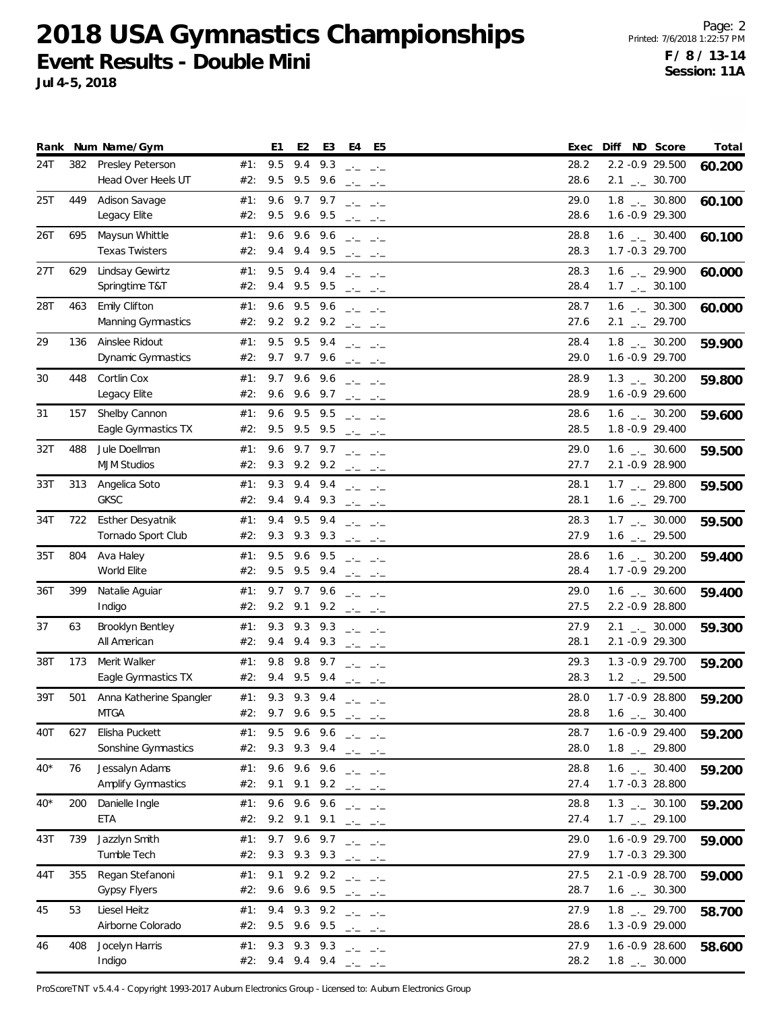**Jul 4-5, 2018**

|       |     | Rank Num Name/Gym                             |            | E1         | E <sub>2</sub>     | E3                                | E4                                                                                                                                                                                                                                                                                                                                                                                                                                                                   | E5                                                                                                                                                                                                                                                                                                                                                                                                                                                                                                                                                                                                                                                                                                                                                                                           | ND Score<br>Diff<br>Exec                                                     | Total  |
|-------|-----|-----------------------------------------------|------------|------------|--------------------|-----------------------------------|----------------------------------------------------------------------------------------------------------------------------------------------------------------------------------------------------------------------------------------------------------------------------------------------------------------------------------------------------------------------------------------------------------------------------------------------------------------------|----------------------------------------------------------------------------------------------------------------------------------------------------------------------------------------------------------------------------------------------------------------------------------------------------------------------------------------------------------------------------------------------------------------------------------------------------------------------------------------------------------------------------------------------------------------------------------------------------------------------------------------------------------------------------------------------------------------------------------------------------------------------------------------------|------------------------------------------------------------------------------|--------|
| 24T   | 382 | Presley Peterson<br>Head Over Heels UT        | #1:<br>#2: | 9.5<br>9.5 | 9.4<br>9.5         | 9.3<br>9.6                        |                                                                                                                                                                                                                                                                                                                                                                                                                                                                      | ساحت التناجية                                                                                                                                                                                                                                                                                                                                                                                                                                                                                                                                                                                                                                                                                                                                                                                | 28.2<br>2.2 -0.9 29.500<br>28.6<br>$2.1$ $_{\leftarrow}$ 30.700              | 60.200 |
| 25T   | 449 | Adison Savage<br>Legacy Elite                 | #1:<br>#2: | 9.6<br>9.5 |                    | $9.7$ $9.7$<br>9.6 9.5            | $-1$<br>$-1$                                                                                                                                                                                                                                                                                                                                                                                                                                                         | $ -$<br>$-1$                                                                                                                                                                                                                                                                                                                                                                                                                                                                                                                                                                                                                                                                                                                                                                                 | 29.0<br>$1.8$ $_{\leftarrow}$ 30.800<br>28.6<br>1.6 -0.9 29.300              | 60.100 |
| 26T   | 695 | Maysun Whittle<br><b>Texas Twisters</b>       | #1:<br>#2: | 9.6<br>9.4 | 9.6                | 9.6<br>9.4 9.5                    |                                                                                                                                                                                                                                                                                                                                                                                                                                                                      | $\frac{1}{2} \frac{1}{2} \frac{1}{2} \frac{1}{2} \frac{1}{2} \frac{1}{2} \frac{1}{2} \frac{1}{2} \frac{1}{2} \frac{1}{2} \frac{1}{2} \frac{1}{2} \frac{1}{2} \frac{1}{2} \frac{1}{2} \frac{1}{2} \frac{1}{2} \frac{1}{2} \frac{1}{2} \frac{1}{2} \frac{1}{2} \frac{1}{2} \frac{1}{2} \frac{1}{2} \frac{1}{2} \frac{1}{2} \frac{1}{2} \frac{1}{2} \frac{1}{2} \frac{1}{2} \frac{1}{2} \frac{$<br>$\frac{1}{2} \frac{1}{2} \frac{1}{2} \frac{1}{2} \frac{1}{2} \frac{1}{2} \frac{1}{2} \frac{1}{2} \frac{1}{2} \frac{1}{2} \frac{1}{2} \frac{1}{2} \frac{1}{2} \frac{1}{2} \frac{1}{2} \frac{1}{2} \frac{1}{2} \frac{1}{2} \frac{1}{2} \frac{1}{2} \frac{1}{2} \frac{1}{2} \frac{1}{2} \frac{1}{2} \frac{1}{2} \frac{1}{2} \frac{1}{2} \frac{1}{2} \frac{1}{2} \frac{1}{2} \frac{1}{2} \frac{$ | $1.6$ _ $-30.400$<br>28.8<br>28.3<br>1.7 -0.3 29.700                         | 60.100 |
| 27T   | 629 | Lindsay Gewirtz<br>Springtime T&T             | #1:<br>#2: | 9.5<br>9.4 | 9.4<br>9.5         | 9.4<br>9.5                        |                                                                                                                                                                                                                                                                                                                                                                                                                                                                      | ساحت الساحب<br>$\frac{1}{2} \frac{1}{2} \frac{1}{2} \frac{1}{2} \frac{1}{2} \frac{1}{2} \frac{1}{2} \frac{1}{2} \frac{1}{2} \frac{1}{2} \frac{1}{2} \frac{1}{2} \frac{1}{2} \frac{1}{2} \frac{1}{2} \frac{1}{2} \frac{1}{2} \frac{1}{2} \frac{1}{2} \frac{1}{2} \frac{1}{2} \frac{1}{2} \frac{1}{2} \frac{1}{2} \frac{1}{2} \frac{1}{2} \frac{1}{2} \frac{1}{2} \frac{1}{2} \frac{1}{2} \frac{1}{2} \frac{$                                                                                                                                                                                                                                                                                                                                                                                  | 28.3<br>$1.6$ $_{-1}$ 29.900<br>28.4<br>$1.7$ $_{\leftarrow}$ 30.100         | 60.000 |
| 28T   | 463 | <b>Emily Clifton</b><br>Manning Gymnastics    | #1:<br>#2: | 9.6        | 9.5<br>9.2 9.2 9.2 | 9.6                               |                                                                                                                                                                                                                                                                                                                                                                                                                                                                      | $\frac{1}{2} \frac{1}{2} \frac{1}{2} \frac{1}{2} \frac{1}{2} \frac{1}{2} \frac{1}{2} \frac{1}{2} \frac{1}{2} \frac{1}{2} \frac{1}{2} \frac{1}{2} \frac{1}{2} \frac{1}{2} \frac{1}{2} \frac{1}{2} \frac{1}{2} \frac{1}{2} \frac{1}{2} \frac{1}{2} \frac{1}{2} \frac{1}{2} \frac{1}{2} \frac{1}{2} \frac{1}{2} \frac{1}{2} \frac{1}{2} \frac{1}{2} \frac{1}{2} \frac{1}{2} \frac{1}{2} \frac{$<br>$\frac{1}{2} \frac{1}{2} \frac{1}{2} \frac{1}{2} \frac{1}{2} \frac{1}{2} \frac{1}{2} \frac{1}{2} \frac{1}{2} \frac{1}{2} \frac{1}{2} \frac{1}{2} \frac{1}{2} \frac{1}{2} \frac{1}{2} \frac{1}{2} \frac{1}{2} \frac{1}{2} \frac{1}{2} \frac{1}{2} \frac{1}{2} \frac{1}{2} \frac{1}{2} \frac{1}{2} \frac{1}{2} \frac{1}{2} \frac{1}{2} \frac{1}{2} \frac{1}{2} \frac{1}{2} \frac{1}{2} \frac{$ | 28.7<br>$1.6$ _ $-30.300$<br>27.6<br>$2.1$ $_{-}$ 29.700                     | 60.000 |
| 29    | 136 | Ainslee Ridout<br>Dynamic Gymnastics          | #1:<br>#2: | 9.5        | 9.5<br>9.7 9.7 9.6 | 9.4                               | $\label{eq:1} \frac{1}{2} \left( \frac{1}{2} \frac{1}{2} \right) \left( \frac{1}{2} \right) \left( \frac{1}{2} \right) \left( \frac{1}{2} \right) \left( \frac{1}{2} \right) \left( \frac{1}{2} \right) \left( \frac{1}{2} \right) \left( \frac{1}{2} \right) \left( \frac{1}{2} \right) \left( \frac{1}{2} \right) \left( \frac{1}{2} \right) \left( \frac{1}{2} \right) \left( \frac{1}{2} \right) \left( \frac{1}{2} \right) \left( \frac{1}{2} \right) \left( \$ | $\frac{1}{2} \frac{1}{2} \frac{1}{2} \frac{1}{2} \frac{1}{2} \frac{1}{2} \frac{1}{2} \frac{1}{2} \frac{1}{2} \frac{1}{2} \frac{1}{2} \frac{1}{2} \frac{1}{2} \frac{1}{2} \frac{1}{2} \frac{1}{2} \frac{1}{2} \frac{1}{2} \frac{1}{2} \frac{1}{2} \frac{1}{2} \frac{1}{2} \frac{1}{2} \frac{1}{2} \frac{1}{2} \frac{1}{2} \frac{1}{2} \frac{1}{2} \frac{1}{2} \frac{1}{2} \frac{1}{2} \frac{$                                                                                                                                                                                                                                                                                                                                                                                                 | $1.8$ $_{-}$ 30.200<br>28.4<br>29.0<br>1.6 -0.9 29.700                       | 59.900 |
| 30    | 448 | Cortlin Cox<br>Legacy Elite                   | #1:<br>#2: | 9.7<br>9.6 | 9.6                | 9.6<br>$9.6$ $9.7$                |                                                                                                                                                                                                                                                                                                                                                                                                                                                                      | $\frac{1}{2} \frac{1}{2} \frac{1}{2} \frac{1}{2} \frac{1}{2} \frac{1}{2} \frac{1}{2} \frac{1}{2} \frac{1}{2} \frac{1}{2} \frac{1}{2} \frac{1}{2} \frac{1}{2} \frac{1}{2} \frac{1}{2} \frac{1}{2} \frac{1}{2} \frac{1}{2} \frac{1}{2} \frac{1}{2} \frac{1}{2} \frac{1}{2} \frac{1}{2} \frac{1}{2} \frac{1}{2} \frac{1}{2} \frac{1}{2} \frac{1}{2} \frac{1}{2} \frac{1}{2} \frac{1}{2} \frac{$<br>$\frac{1}{2} \frac{1}{2} \frac{1}{2} \frac{1}{2} \frac{1}{2} \frac{1}{2} \frac{1}{2} \frac{1}{2} \frac{1}{2} \frac{1}{2} \frac{1}{2} \frac{1}{2} \frac{1}{2} \frac{1}{2} \frac{1}{2} \frac{1}{2} \frac{1}{2} \frac{1}{2} \frac{1}{2} \frac{1}{2} \frac{1}{2} \frac{1}{2} \frac{1}{2} \frac{1}{2} \frac{1}{2} \frac{1}{2} \frac{1}{2} \frac{1}{2} \frac{1}{2} \frac{1}{2} \frac{1}{2} \frac{$ | 28.9<br>$1.3$ $_{\leftarrow}$ 30.200<br>28.9<br>1.6 -0.9 29.600              | 59.800 |
| 31    | 157 | Shelby Cannon<br>Eagle Gymnastics TX          | #1:<br>#2: | 9.6<br>9.5 | 9.5<br>9.5 9.5     | 9.5                               |                                                                                                                                                                                                                                                                                                                                                                                                                                                                      | $\frac{1}{2} \frac{1}{2} \frac{1}{2} \frac{1}{2} \frac{1}{2} \frac{1}{2} \frac{1}{2} \frac{1}{2} \frac{1}{2} \frac{1}{2} \frac{1}{2} \frac{1}{2} \frac{1}{2} \frac{1}{2} \frac{1}{2} \frac{1}{2} \frac{1}{2} \frac{1}{2} \frac{1}{2} \frac{1}{2} \frac{1}{2} \frac{1}{2} \frac{1}{2} \frac{1}{2} \frac{1}{2} \frac{1}{2} \frac{1}{2} \frac{1}{2} \frac{1}{2} \frac{1}{2} \frac{1}{2} \frac{$<br>$\frac{1}{2} \frac{1}{2} \frac{1}{2} \frac{1}{2} \frac{1}{2} \frac{1}{2} \frac{1}{2} \frac{1}{2} \frac{1}{2} \frac{1}{2} \frac{1}{2} \frac{1}{2} \frac{1}{2} \frac{1}{2} \frac{1}{2} \frac{1}{2} \frac{1}{2} \frac{1}{2} \frac{1}{2} \frac{1}{2} \frac{1}{2} \frac{1}{2} \frac{1}{2} \frac{1}{2} \frac{1}{2} \frac{1}{2} \frac{1}{2} \frac{1}{2} \frac{1}{2} \frac{1}{2} \frac{1}{2} \frac{$ | 28.6<br>$1.6$ $_{\leftarrow}$ 30.200<br>28.5<br>1.8 - 0.9 29.400             | 59.600 |
| 32T   | 488 | Jule Doellman<br><b>MJM Studios</b>           | #1:<br>#2: | 9.6        |                    | 9.7 9.7<br>9.3 9.2 9.2 $ -$       |                                                                                                                                                                                                                                                                                                                                                                                                                                                                      | ساحت التناجية                                                                                                                                                                                                                                                                                                                                                                                                                                                                                                                                                                                                                                                                                                                                                                                | 29.0<br>$1.6$ _ $-30.600$<br>27.7<br>2.1 -0.9 28.900                         | 59.500 |
| 33T   | 313 | Angelica Soto<br><b>GKSC</b>                  | #1:<br>#2: | 9.3<br>9.4 |                    | $9.4$ $9.4$<br>$9.4$ $9.3$        |                                                                                                                                                                                                                                                                                                                                                                                                                                                                      | $\frac{1}{2} \frac{1}{2} \frac{1}{2} \frac{1}{2} \frac{1}{2} \frac{1}{2} \frac{1}{2} \frac{1}{2} \frac{1}{2} \frac{1}{2} \frac{1}{2} \frac{1}{2} \frac{1}{2} \frac{1}{2} \frac{1}{2} \frac{1}{2} \frac{1}{2} \frac{1}{2} \frac{1}{2} \frac{1}{2} \frac{1}{2} \frac{1}{2} \frac{1}{2} \frac{1}{2} \frac{1}{2} \frac{1}{2} \frac{1}{2} \frac{1}{2} \frac{1}{2} \frac{1}{2} \frac{1}{2} \frac{$<br>$\frac{1}{2} \frac{1}{2} \frac{1}{2} \frac{1}{2} \frac{1}{2} \frac{1}{2} \frac{1}{2} \frac{1}{2} \frac{1}{2} \frac{1}{2} \frac{1}{2} \frac{1}{2} \frac{1}{2} \frac{1}{2} \frac{1}{2} \frac{1}{2} \frac{1}{2} \frac{1}{2} \frac{1}{2} \frac{1}{2} \frac{1}{2} \frac{1}{2} \frac{1}{2} \frac{1}{2} \frac{1}{2} \frac{1}{2} \frac{1}{2} \frac{1}{2} \frac{1}{2} \frac{1}{2} \frac{1}{2} \frac{$ | 28.1<br>$1.7$ $_{\leftarrow}$ 29.800<br>28.1<br>$1.6$ $_{\leftarrow}$ 29.700 | 59.500 |
| 34T   | 722 | <b>Esther Desyatnik</b><br>Tornado Sport Club | #1:<br>#2: | 9.4<br>9.3 | 9.5                | 9.4<br>9.3 9.3                    |                                                                                                                                                                                                                                                                                                                                                                                                                                                                      | ساحت التناجية<br>$\frac{1}{2} \frac{1}{2} \frac{1}{2} \frac{1}{2} \frac{1}{2} \frac{1}{2} \frac{1}{2} \frac{1}{2} \frac{1}{2} \frac{1}{2} \frac{1}{2} \frac{1}{2} \frac{1}{2} \frac{1}{2} \frac{1}{2} \frac{1}{2} \frac{1}{2} \frac{1}{2} \frac{1}{2} \frac{1}{2} \frac{1}{2} \frac{1}{2} \frac{1}{2} \frac{1}{2} \frac{1}{2} \frac{1}{2} \frac{1}{2} \frac{1}{2} \frac{1}{2} \frac{1}{2} \frac{1}{2} \frac{$                                                                                                                                                                                                                                                                                                                                                                                | 28.3<br>$1.7$ $_{\leftarrow}$ 30.000<br>27.9<br>$1.6$ $_{\leftarrow}$ 29.500 | 59.500 |
| 35T   | 804 | Ava Haley<br>World Elite                      | #1:<br>#2: | 9.5<br>9.5 | 9.6                | 9.5<br>$9.5$ $9.4$ $ -$           |                                                                                                                                                                                                                                                                                                                                                                                                                                                                      | $\frac{1}{2} \frac{1}{2} \frac{1}{2} \frac{1}{2} \frac{1}{2} \frac{1}{2} \frac{1}{2} \frac{1}{2} \frac{1}{2} \frac{1}{2} \frac{1}{2} \frac{1}{2} \frac{1}{2} \frac{1}{2} \frac{1}{2} \frac{1}{2} \frac{1}{2} \frac{1}{2} \frac{1}{2} \frac{1}{2} \frac{1}{2} \frac{1}{2} \frac{1}{2} \frac{1}{2} \frac{1}{2} \frac{1}{2} \frac{1}{2} \frac{1}{2} \frac{1}{2} \frac{1}{2} \frac{1}{2} \frac{$                                                                                                                                                                                                                                                                                                                                                                                                 | $1.6$ _ $-30.200$<br>28.6<br>28.4<br>1.7 - 0.9 29.200                        | 59.400 |
| 36T   | 399 | Natalie Aguiar<br>Indigo                      | #1:<br>#2: | 9.7        |                    | 9.7 9.6<br>9.2 9.1 9.2 $ -$       |                                                                                                                                                                                                                                                                                                                                                                                                                                                                      | $\label{eq:2.1} \begin{array}{lllllllll} \begin{array}{lllllllllllllllll} \mathbb{Z} & \mathbb{Z} & \mathbb{Z} & \mathbb{Z} & \mathbb{Z} \end{array} \end{array}$                                                                                                                                                                                                                                                                                                                                                                                                                                                                                                                                                                                                                            | 29.0<br>$1.6$ $_{\leftarrow}$ 30.600<br>27.5<br>2.2 -0.9 28.800              | 59.400 |
| 37    | 63  | Brooklyn Bentley<br>All American              | #1:<br>#2: | 9.3<br>9.4 | 9.3                | 9.3<br>$9.4$ $9.3$                |                                                                                                                                                                                                                                                                                                                                                                                                                                                                      | $\frac{1}{2} \frac{1}{2} \frac{1}{2} \frac{1}{2} \frac{1}{2} \frac{1}{2} \frac{1}{2} \frac{1}{2} \frac{1}{2} \frac{1}{2} \frac{1}{2} \frac{1}{2} \frac{1}{2} \frac{1}{2} \frac{1}{2} \frac{1}{2} \frac{1}{2} \frac{1}{2} \frac{1}{2} \frac{1}{2} \frac{1}{2} \frac{1}{2} \frac{1}{2} \frac{1}{2} \frac{1}{2} \frac{1}{2} \frac{1}{2} \frac{1}{2} \frac{1}{2} \frac{1}{2} \frac{1}{2} \frac{$<br>$\frac{1}{2} \frac{1}{2} \frac{1}{2} \frac{1}{2} \frac{1}{2} \frac{1}{2} \frac{1}{2} \frac{1}{2} \frac{1}{2} \frac{1}{2} \frac{1}{2} \frac{1}{2} \frac{1}{2} \frac{1}{2} \frac{1}{2} \frac{1}{2} \frac{1}{2} \frac{1}{2} \frac{1}{2} \frac{1}{2} \frac{1}{2} \frac{1}{2} \frac{1}{2} \frac{1}{2} \frac{1}{2} \frac{1}{2} \frac{1}{2} \frac{1}{2} \frac{1}{2} \frac{1}{2} \frac{1}{2} \frac{$ | 27.9<br>$2.1$ $_{\leftarrow}$ 30.000<br>2.1 -0.9 29.300<br>28.1              | 59.300 |
| 38T   | 173 | Merit Walker<br>Eagle Gymnastics TX           | #1:<br>#2: | 9.8<br>9.4 | 9.8                | 9.7<br>9.5 9.4                    |                                                                                                                                                                                                                                                                                                                                                                                                                                                                      | $\frac{1}{2} \frac{1}{2} \frac{1}{2} \frac{1}{2} \frac{1}{2} \frac{1}{2} \frac{1}{2} \frac{1}{2} \frac{1}{2} \frac{1}{2} \frac{1}{2} \frac{1}{2} \frac{1}{2} \frac{1}{2} \frac{1}{2} \frac{1}{2} \frac{1}{2} \frac{1}{2} \frac{1}{2} \frac{1}{2} \frac{1}{2} \frac{1}{2} \frac{1}{2} \frac{1}{2} \frac{1}{2} \frac{1}{2} \frac{1}{2} \frac{1}{2} \frac{1}{2} \frac{1}{2} \frac{1}{2} \frac{$<br>$\frac{1}{2} \frac{1}{2} \frac{1}{2} \frac{1}{2} \frac{1}{2} \frac{1}{2} \frac{1}{2} \frac{1}{2} \frac{1}{2} \frac{1}{2} \frac{1}{2} \frac{1}{2} \frac{1}{2} \frac{1}{2} \frac{1}{2} \frac{1}{2} \frac{1}{2} \frac{1}{2} \frac{1}{2} \frac{1}{2} \frac{1}{2} \frac{1}{2} \frac{1}{2} \frac{1}{2} \frac{1}{2} \frac{1}{2} \frac{1}{2} \frac{1}{2} \frac{1}{2} \frac{1}{2} \frac{1}{2} \frac{$ | 29.3<br>1.3 -0.9 29.700<br>28.3<br>$1.2$ $_{\leftarrow}$ 29.500              | 59.200 |
| 39T   | 501 | Anna Katherine Spangler<br><b>MTGA</b>        | #1:<br>#2: | 9.3<br>9.7 | 9.3<br>9.6         | 9.4<br>9.5                        | コードー コードー                                                                                                                                                                                                                                                                                                                                                                                                                                                            | $\frac{1}{2} \frac{1}{2} \frac{1}{2} \frac{1}{2} \frac{1}{2} \frac{1}{2} \frac{1}{2} \frac{1}{2} \frac{1}{2} \frac{1}{2} \frac{1}{2} \frac{1}{2} \frac{1}{2} \frac{1}{2} \frac{1}{2} \frac{1}{2} \frac{1}{2} \frac{1}{2} \frac{1}{2} \frac{1}{2} \frac{1}{2} \frac{1}{2} \frac{1}{2} \frac{1}{2} \frac{1}{2} \frac{1}{2} \frac{1}{2} \frac{1}{2} \frac{1}{2} \frac{1}{2} \frac{1}{2} \frac{$                                                                                                                                                                                                                                                                                                                                                                                                 | 1.7 -0.9 28.800<br>28.0<br>28.8<br>$1.6$ _ $-30.400$                         | 59.200 |
| 40T   | 627 | Elisha Puckett<br>Sonshine Gymnastics         | #1:<br>#2: | 9.3        |                    | 9.5 9.6 9.6 $  -$<br>9.3 9.4 $ -$ |                                                                                                                                                                                                                                                                                                                                                                                                                                                                      |                                                                                                                                                                                                                                                                                                                                                                                                                                                                                                                                                                                                                                                                                                                                                                                              | 1.6 -0.9 29.400<br>28.7<br>28.0<br>$1.8$ $_{-}$ 29.800                       | 59.200 |
| $40*$ | 76  | Jessalyn Adams<br>Amplify Gymnastics          | #1:<br>#2: | 9.6<br>9.1 |                    | 9.6 9.6<br>9.1 9.2 $ -$           |                                                                                                                                                                                                                                                                                                                                                                                                                                                                      | $\frac{1}{2} \frac{1}{2} \frac{1}{2} \frac{1}{2} \frac{1}{2} \frac{1}{2} \frac{1}{2} \frac{1}{2} \frac{1}{2} \frac{1}{2} \frac{1}{2} \frac{1}{2} \frac{1}{2} \frac{1}{2} \frac{1}{2} \frac{1}{2} \frac{1}{2} \frac{1}{2} \frac{1}{2} \frac{1}{2} \frac{1}{2} \frac{1}{2} \frac{1}{2} \frac{1}{2} \frac{1}{2} \frac{1}{2} \frac{1}{2} \frac{1}{2} \frac{1}{2} \frac{1}{2} \frac{1}{2} \frac{$                                                                                                                                                                                                                                                                                                                                                                                                 | 28.8<br>$1.6$ $_{\leftarrow}$ 30.400<br>27.4<br>1.7 -0.3 28.800              | 59.200 |
| $40*$ | 200 | Danielle Ingle<br>ETA                         | #1:<br>#2: | 9.6<br>9.2 | 9.6<br>9.1         | 9.6<br>9.1                        |                                                                                                                                                                                                                                                                                                                                                                                                                                                                      | $\frac{1}{2} \frac{1}{2} \frac{1}{2} \frac{1}{2} \frac{1}{2} \frac{1}{2} \frac{1}{2} \frac{1}{2} \frac{1}{2} \frac{1}{2} \frac{1}{2} \frac{1}{2} \frac{1}{2} \frac{1}{2} \frac{1}{2} \frac{1}{2} \frac{1}{2} \frac{1}{2} \frac{1}{2} \frac{1}{2} \frac{1}{2} \frac{1}{2} \frac{1}{2} \frac{1}{2} \frac{1}{2} \frac{1}{2} \frac{1}{2} \frac{1}{2} \frac{1}{2} \frac{1}{2} \frac{1}{2} \frac{$<br>$\frac{1}{2} \frac{1}{2} \frac{1}{2} \frac{1}{2} \frac{1}{2} \frac{1}{2} \frac{1}{2} \frac{1}{2} \frac{1}{2} \frac{1}{2} \frac{1}{2} \frac{1}{2} \frac{1}{2} \frac{1}{2} \frac{1}{2} \frac{1}{2} \frac{1}{2} \frac{1}{2} \frac{1}{2} \frac{1}{2} \frac{1}{2} \frac{1}{2} \frac{1}{2} \frac{1}{2} \frac{1}{2} \frac{1}{2} \frac{1}{2} \frac{1}{2} \frac{1}{2} \frac{1}{2} \frac{1}{2} \frac{$ | 28.8<br>$1.3$ _._ 30.100<br>27.4<br>$1.7$ $_{\leftarrow}$ 29.100             | 59.200 |
| 43T   | 739 | Jazzlyn Smith<br>Tumble Tech                  | #1:<br>#2: | 9.7<br>9.3 | 9.6                | 9.7<br>$9.3$ $9.3$                |                                                                                                                                                                                                                                                                                                                                                                                                                                                                      | ساحت الباحث<br>$\frac{1}{2} \frac{1}{2} \frac{1}{2} \frac{1}{2} \frac{1}{2} \frac{1}{2} \frac{1}{2} \frac{1}{2} \frac{1}{2} \frac{1}{2} \frac{1}{2} \frac{1}{2} \frac{1}{2} \frac{1}{2} \frac{1}{2} \frac{1}{2} \frac{1}{2} \frac{1}{2} \frac{1}{2} \frac{1}{2} \frac{1}{2} \frac{1}{2} \frac{1}{2} \frac{1}{2} \frac{1}{2} \frac{1}{2} \frac{1}{2} \frac{1}{2} \frac{1}{2} \frac{1}{2} \frac{1}{2} \frac{$                                                                                                                                                                                                                                                                                                                                                                                  | 1.6 -0.9 29.700<br>29.0<br>27.9<br>1.7 -0.3 29.300                           | 59.000 |
| 44T   | 355 | Regan Stefanoni<br><b>Gypsy Flyers</b>        | #1:<br>#2: | 9.1<br>9.6 |                    | $9.2$ $9.2$<br>9.6 9.5            |                                                                                                                                                                                                                                                                                                                                                                                                                                                                      | $\frac{1}{2} \frac{1}{2} \frac{1}{2} \frac{1}{2} \frac{1}{2} \frac{1}{2} \frac{1}{2} \frac{1}{2} \frac{1}{2} \frac{1}{2} \frac{1}{2} \frac{1}{2} \frac{1}{2} \frac{1}{2} \frac{1}{2} \frac{1}{2} \frac{1}{2} \frac{1}{2} \frac{1}{2} \frac{1}{2} \frac{1}{2} \frac{1}{2} \frac{1}{2} \frac{1}{2} \frac{1}{2} \frac{1}{2} \frac{1}{2} \frac{1}{2} \frac{1}{2} \frac{1}{2} \frac{1}{2} \frac{$<br>$\frac{1}{2} \frac{1}{2} \frac{1}{2} \frac{1}{2} \frac{1}{2} \frac{1}{2} \frac{1}{2} \frac{1}{2} \frac{1}{2} \frac{1}{2} \frac{1}{2} \frac{1}{2} \frac{1}{2} \frac{1}{2} \frac{1}{2} \frac{1}{2} \frac{1}{2} \frac{1}{2} \frac{1}{2} \frac{1}{2} \frac{1}{2} \frac{1}{2} \frac{1}{2} \frac{1}{2} \frac{1}{2} \frac{1}{2} \frac{1}{2} \frac{1}{2} \frac{1}{2} \frac{1}{2} \frac{1}{2} \frac{$ | 27.5<br>2.1 -0.9 28.700<br>28.7<br>$1.6$ $_{\leftarrow}$ 30.300              | 59.000 |
| 45    | 53  | Liesel Heitz<br>Airborne Colorado             | #1:<br>#2: | 9.4<br>9.5 | 9.3                | 9.2<br>9.6 9.5                    |                                                                                                                                                                                                                                                                                                                                                                                                                                                                      | $\frac{1}{2} \frac{1}{2} \frac{1}{2} \frac{1}{2} \frac{1}{2} \frac{1}{2} \frac{1}{2} \frac{1}{2} \frac{1}{2} \frac{1}{2} \frac{1}{2} \frac{1}{2} \frac{1}{2} \frac{1}{2} \frac{1}{2} \frac{1}{2} \frac{1}{2} \frac{1}{2} \frac{1}{2} \frac{1}{2} \frac{1}{2} \frac{1}{2} \frac{1}{2} \frac{1}{2} \frac{1}{2} \frac{1}{2} \frac{1}{2} \frac{1}{2} \frac{1}{2} \frac{1}{2} \frac{1}{2} \frac{$<br>$\frac{1}{2} \frac{1}{2} \frac{1}{2} \frac{1}{2} \frac{1}{2} \frac{1}{2} \frac{1}{2} \frac{1}{2} \frac{1}{2} \frac{1}{2} \frac{1}{2} \frac{1}{2} \frac{1}{2} \frac{1}{2} \frac{1}{2} \frac{1}{2} \frac{1}{2} \frac{1}{2} \frac{1}{2} \frac{1}{2} \frac{1}{2} \frac{1}{2} \frac{1}{2} \frac{1}{2} \frac{1}{2} \frac{1}{2} \frac{1}{2} \frac{1}{2} \frac{1}{2} \frac{1}{2} \frac{1}{2} \frac{$ | 27.9<br>$1.8$ $_{-}$ 29.700<br>28.6<br>1.3 -0.9 29.000                       | 58.700 |
| 46    | 408 | Jocelyn Harris<br>Indigo                      | #1:<br>#2: | 9.3<br>9.4 |                    | $9.3$ $9.3$<br>9.4 9.4 $ -$       |                                                                                                                                                                                                                                                                                                                                                                                                                                                                      | $\Box\cdot\Box\cdot\Box\cdot\Box\cdot\Box$                                                                                                                                                                                                                                                                                                                                                                                                                                                                                                                                                                                                                                                                                                                                                   | 27.9<br>1.6 -0.9 28.600<br>28.2<br>$1.8$ $_{-}$ 30.000                       | 58.600 |

ProScoreTNT v5.4.4 - Copyright 1993-2017 Auburn Electronics Group - Licensed to: Auburn Electronics Group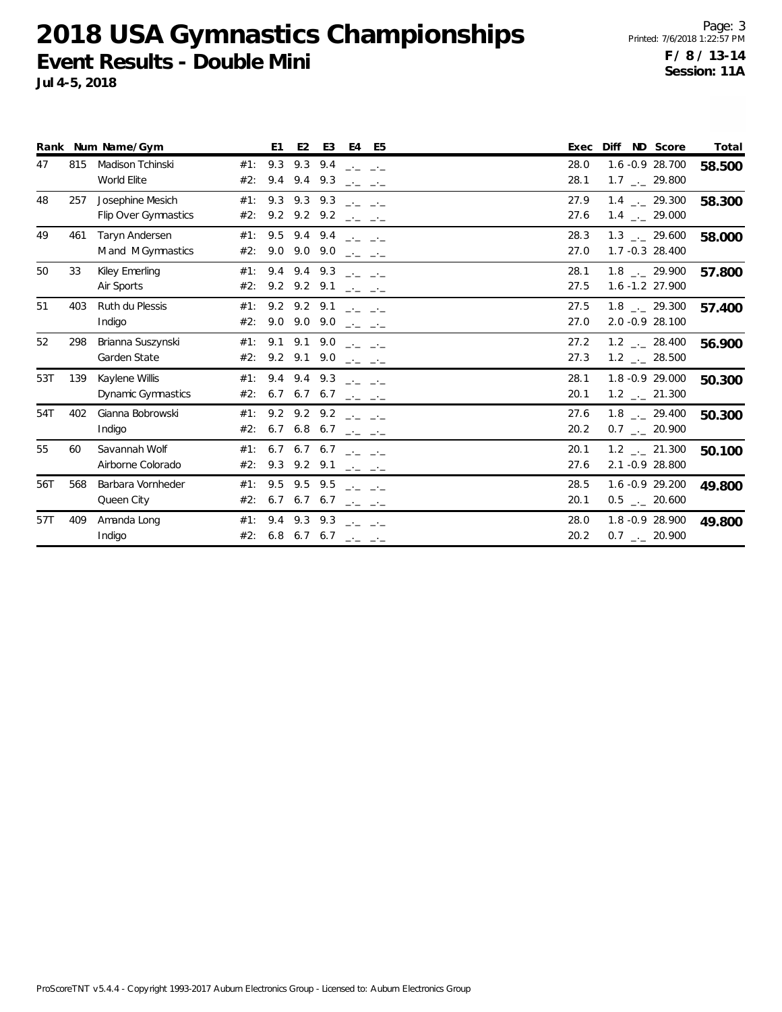|     |     | Rank Num Name/Gym                           |            | E1                                                               | E <sub>2</sub>                   | E3                                                    |             | E4 E5                                                                                                                                                                                                                                                                                                                                                                                        | Exec         | Diff ND Score |                                                              | Total  |
|-----|-----|---------------------------------------------|------------|------------------------------------------------------------------|----------------------------------|-------------------------------------------------------|-------------|----------------------------------------------------------------------------------------------------------------------------------------------------------------------------------------------------------------------------------------------------------------------------------------------------------------------------------------------------------------------------------------------|--------------|---------------|--------------------------------------------------------------|--------|
| 47  | 815 | Madison Tchinski<br>World Elite             | #1:<br>#2: | 9.3                                                              | $9.4$ $9.4$ $9.3$                | 9.3 9.4                                               |             | ساحت التناجية<br>المحمد المحمد                                                                                                                                                                                                                                                                                                                                                               | 28.0<br>28.1 |               | 1.6 -0.9 28.700<br>$1.7$ $_{\leftarrow}$ 29.800              | 58.500 |
| 48  | 257 | Josephine Mesich<br>Flip Over Gymnastics    | #1:<br>#2: |                                                                  | $9.3$ $9.3$ $9.3$                | 9.2 9.2 9.2 $- -$                                     | سامس السامس |                                                                                                                                                                                                                                                                                                                                                                                              | 27.9<br>27.6 |               | $1.4$ $_{-1}$ 29.300<br>$1.4$ $_{-1}$ 29.000                 | 58.300 |
| 49  | 461 | <b>Taryn Andersen</b><br>M and M Gymnastics | #1:<br>#2: | 9.5                                                              | 9.4 9.4                          | 9.0 9.0 9.0 $  -$                                     |             | التواصل التواصل                                                                                                                                                                                                                                                                                                                                                                              | 28.3<br>27.0 |               | 1.3 . 29.600<br>1.7 -0.3 28.400                              | 58.000 |
| 50  | 33  | Kiley Emerling<br>Air Sports                | #1:<br>#2: |                                                                  | $9.4$ $9.4$ $9.3$<br>9.2 9.2 9.1 |                                                       |             | $\frac{1}{2} \frac{1}{2} \frac{1}{2} \frac{1}{2} \frac{1}{2} \frac{1}{2} \frac{1}{2} \frac{1}{2} \frac{1}{2} \frac{1}{2} \frac{1}{2} \frac{1}{2} \frac{1}{2} \frac{1}{2} \frac{1}{2} \frac{1}{2} \frac{1}{2} \frac{1}{2} \frac{1}{2} \frac{1}{2} \frac{1}{2} \frac{1}{2} \frac{1}{2} \frac{1}{2} \frac{1}{2} \frac{1}{2} \frac{1}{2} \frac{1}{2} \frac{1}{2} \frac{1}{2} \frac{1}{2} \frac{$ | 28.1<br>27.5 |               | $1.8$ $_{\leftarrow}$ 29.900<br>1.6 -1.2 27.900              | 57.800 |
| 51  | 403 | Ruth du Plessis<br>Indigo                   | #1:<br>#2: |                                                                  | $9.2$ $9.2$ $9.1$                | 9.0 9.0 9.0 $  -$                                     |             | $\frac{1}{2} \frac{1}{2} \frac{1}{2} \frac{1}{2} \frac{1}{2} \frac{1}{2} \frac{1}{2} \frac{1}{2} \frac{1}{2} \frac{1}{2} \frac{1}{2} \frac{1}{2} \frac{1}{2} \frac{1}{2} \frac{1}{2} \frac{1}{2} \frac{1}{2} \frac{1}{2} \frac{1}{2} \frac{1}{2} \frac{1}{2} \frac{1}{2} \frac{1}{2} \frac{1}{2} \frac{1}{2} \frac{1}{2} \frac{1}{2} \frac{1}{2} \frac{1}{2} \frac{1}{2} \frac{1}{2} \frac{$ | 27.5<br>27.0 |               | $1.8$ $_{-1}$ 29.300<br>2.0 -0.9 28.100                      | 57.400 |
| 52  | 298 | Brianna Suszynski<br>Garden State           | #2:        | #1: 9.1 9.1 9.0 $\frac{1}{2}$ $\frac{1}{2}$                      |                                  | 9.2 9.1 9.0 $  -$                                     |             |                                                                                                                                                                                                                                                                                                                                                                                              | 27.2<br>27.3 |               | $1.2$ _ 28.400<br>$1.2$ $_{\leftarrow}$ 28.500               | 56.900 |
| 53T | 139 | Kaylene Willis<br>Dynamic Gymnastics        | #1:<br>#2: |                                                                  | 9.4 9.4 9.3                      | 6.7 6.7 6.7 $\longrightarrow$                         |             |                                                                                                                                                                                                                                                                                                                                                                                              | 28.1<br>20.1 |               | 1.8 -0.9 29.000<br>$1.2$ $_{-}$ 21.300                       | 50.300 |
| 54T | 402 | Gianna Bobrowski<br>Indigo                  | #1:<br>#2: |                                                                  |                                  | 9.2 9.2 9.2 $ -$<br>6.7 6.8 6.7 $  -$                 |             |                                                                                                                                                                                                                                                                                                                                                                                              | 27.6<br>20.2 |               | $1.8$ $_{\leftarrow}$ 29.400<br>$0.7$ $_{\leftarrow}$ 20.900 | 50.300 |
| 55  | 60  | Savannah Wolf<br>Airborne Colorado          | #1:<br>#2: |                                                                  | 9.3 9.2 9.1                      | 6.7 6.7 6.7 $\frac{1}{2}$ $\frac{1}{2}$ $\frac{1}{2}$ |             | التاجين التباطي                                                                                                                                                                                                                                                                                                                                                                              | 20.1<br>27.6 |               | $1.2$ $_{-}$ 21.300<br>2.1 -0.9 28.800                       | 50.100 |
| 56T | 568 | Barbara Vornheder<br>Queen City             | #1:<br>#2: | 9.5<br>6.7                                                       | 9.5 9.5                          | $6.7\quad 6.7$                                        |             |                                                                                                                                                                                                                                                                                                                                                                                              | 28.5<br>20.1 |               | 1.6 -0.9 29.200<br>$0.5$ $_{\leftarrow}$ 20.600              | 49.800 |
| 57T | 409 | Amanda Long<br>Indigo                       | #1:        | 9.4<br>#2: 6.8 6.7 6.7 $\frac{1}{2}$ $\frac{1}{2}$ $\frac{1}{2}$ | 9.3                              | 9.3                                                   |             |                                                                                                                                                                                                                                                                                                                                                                                              | 28.0<br>20.2 |               | 1.8 - 0.9 28.900<br>$0.7$ $_{\leftarrow}$ 20.900             | 49.800 |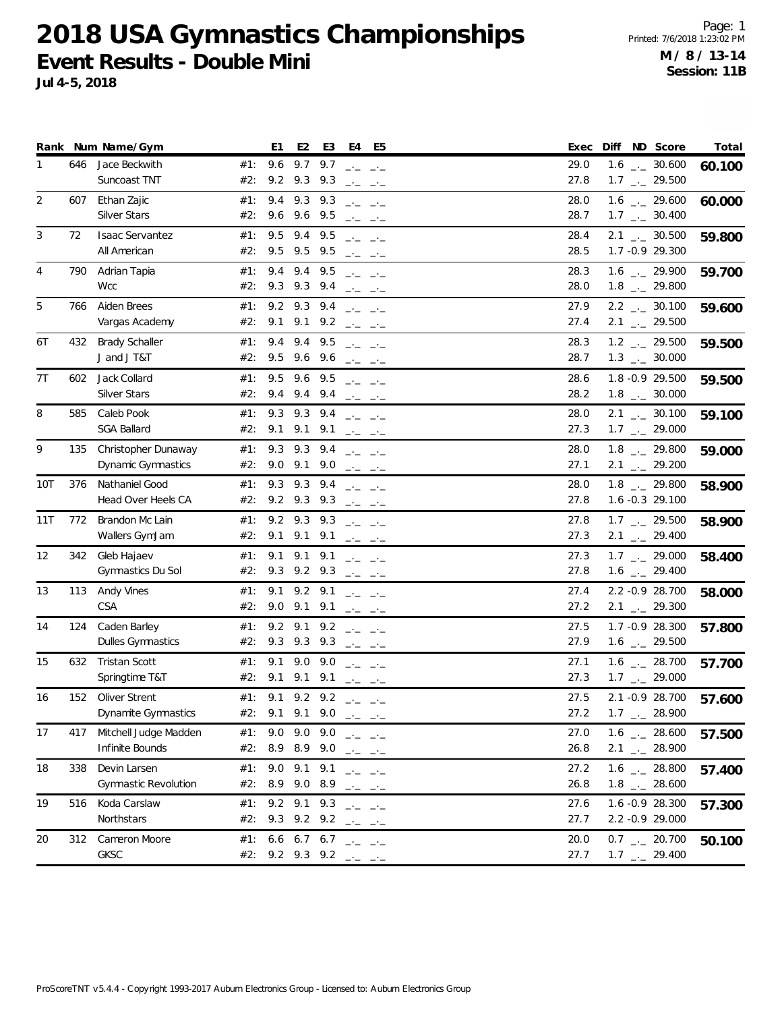|     |     | Rank Num Name/Gym           |     | E1                      | E <sub>2</sub> | E <sub>3</sub> | E4 E5                                                                                                                                                                                                                                                                                                                                                                                                                                                                                                                                                                                                                                                                                                                                                                                        | Diff ND Score<br>Exec                | Total  |
|-----|-----|-----------------------------|-----|-------------------------|----------------|----------------|----------------------------------------------------------------------------------------------------------------------------------------------------------------------------------------------------------------------------------------------------------------------------------------------------------------------------------------------------------------------------------------------------------------------------------------------------------------------------------------------------------------------------------------------------------------------------------------------------------------------------------------------------------------------------------------------------------------------------------------------------------------------------------------------|--------------------------------------|--------|
| 1   | 646 | Jace Beckwith               | #1: | 9.6                     | 9.7            | 9.7            | $\frac{1}{2} \frac{1}{2} \frac{1}{2} \frac{1}{2} \frac{1}{2} \frac{1}{2} \frac{1}{2} \frac{1}{2} \frac{1}{2} \frac{1}{2} \frac{1}{2} \frac{1}{2} \frac{1}{2} \frac{1}{2} \frac{1}{2} \frac{1}{2} \frac{1}{2} \frac{1}{2} \frac{1}{2} \frac{1}{2} \frac{1}{2} \frac{1}{2} \frac{1}{2} \frac{1}{2} \frac{1}{2} \frac{1}{2} \frac{1}{2} \frac{1}{2} \frac{1}{2} \frac{1}{2} \frac{1}{2} \frac{$                                                                                                                                                                                                                                                                                                                                                                                                 | 29.0<br>$1.6$ $_{\leftarrow}$ 30.600 | 60.100 |
|     |     | Suncoast TNT                | #2: | 9.2                     | 9.3 9.3        |                | $\frac{1}{2} \frac{1}{2} \frac{1}{2} \frac{1}{2} \frac{1}{2} \frac{1}{2} \frac{1}{2} \frac{1}{2} \frac{1}{2} \frac{1}{2} \frac{1}{2} \frac{1}{2} \frac{1}{2} \frac{1}{2} \frac{1}{2} \frac{1}{2} \frac{1}{2} \frac{1}{2} \frac{1}{2} \frac{1}{2} \frac{1}{2} \frac{1}{2} \frac{1}{2} \frac{1}{2} \frac{1}{2} \frac{1}{2} \frac{1}{2} \frac{1}{2} \frac{1}{2} \frac{1}{2} \frac{1}{2} \frac{$                                                                                                                                                                                                                                                                                                                                                                                                 | 27.8<br>$1.7$ $_{\leftarrow}$ 29.500 |        |
| 2   | 607 | Ethan Zajic                 | #1: | 9.4                     | 9.3            | 9.3            | $\frac{1}{2} \frac{1}{2} \frac{1}{2} \frac{1}{2} \frac{1}{2} \frac{1}{2} \frac{1}{2} \frac{1}{2} \frac{1}{2} \frac{1}{2} \frac{1}{2} \frac{1}{2} \frac{1}{2} \frac{1}{2} \frac{1}{2} \frac{1}{2} \frac{1}{2} \frac{1}{2} \frac{1}{2} \frac{1}{2} \frac{1}{2} \frac{1}{2} \frac{1}{2} \frac{1}{2} \frac{1}{2} \frac{1}{2} \frac{1}{2} \frac{1}{2} \frac{1}{2} \frac{1}{2} \frac{1}{2} \frac{$                                                                                                                                                                                                                                                                                                                                                                                                 | $1.6$ $_{-2}$ 29.600<br>28.0         | 60.000 |
|     |     | <b>Silver Stars</b>         | #2: | 9.6                     | 9.6 9.5        |                | $\frac{1}{2} \frac{1}{2} \frac{1}{2} \frac{1}{2} \frac{1}{2} \frac{1}{2} \frac{1}{2} \frac{1}{2} \frac{1}{2} \frac{1}{2} \frac{1}{2} \frac{1}{2} \frac{1}{2} \frac{1}{2} \frac{1}{2} \frac{1}{2} \frac{1}{2} \frac{1}{2} \frac{1}{2} \frac{1}{2} \frac{1}{2} \frac{1}{2} \frac{1}{2} \frac{1}{2} \frac{1}{2} \frac{1}{2} \frac{1}{2} \frac{1}{2} \frac{1}{2} \frac{1}{2} \frac{1}{2} \frac{$                                                                                                                                                                                                                                                                                                                                                                                                 | 28.7<br>$1.7$ $_{\leftarrow}$ 30.400 |        |
| 3   | 72  | <b>Isaac Servantez</b>      | #1: | 9.5                     | 9.4 9.5        |                | $\Box$ $\Box$ $\Box$ $\Box$ $\Box$                                                                                                                                                                                                                                                                                                                                                                                                                                                                                                                                                                                                                                                                                                                                                           | 28.4<br>$2.1$ $_{\leftarrow}$ 30.500 | 59.800 |
|     |     | All American                | #2: | 9.5                     | 9.5 9.5        |                | $\frac{1}{2} \frac{1}{2} \frac{1}{2} \frac{1}{2} \frac{1}{2} \frac{1}{2} \frac{1}{2} \frac{1}{2} \frac{1}{2} \frac{1}{2} \frac{1}{2} \frac{1}{2} \frac{1}{2} \frac{1}{2} \frac{1}{2} \frac{1}{2} \frac{1}{2} \frac{1}{2} \frac{1}{2} \frac{1}{2} \frac{1}{2} \frac{1}{2} \frac{1}{2} \frac{1}{2} \frac{1}{2} \frac{1}{2} \frac{1}{2} \frac{1}{2} \frac{1}{2} \frac{1}{2} \frac{1}{2} \frac{$                                                                                                                                                                                                                                                                                                                                                                                                 | 28.5<br>1.7 -0.9 29.300              |        |
| 4   | 790 | Adrian Tapia                | #1: | 9.4                     | 9.4            | 9.5            | $\frac{1}{2} \frac{1}{2} \frac{1}{2} \frac{1}{2} \frac{1}{2} \frac{1}{2} \frac{1}{2} \frac{1}{2} \frac{1}{2} \frac{1}{2} \frac{1}{2} \frac{1}{2} \frac{1}{2} \frac{1}{2} \frac{1}{2} \frac{1}{2} \frac{1}{2} \frac{1}{2} \frac{1}{2} \frac{1}{2} \frac{1}{2} \frac{1}{2} \frac{1}{2} \frac{1}{2} \frac{1}{2} \frac{1}{2} \frac{1}{2} \frac{1}{2} \frac{1}{2} \frac{1}{2} \frac{1}{2} \frac{$                                                                                                                                                                                                                                                                                                                                                                                                 | 28.3<br>1.6 $_{\leftarrow}$ 29.900   | 59.700 |
|     |     | <b>Wcc</b>                  | #2: | 9.3                     | 9.3 9.4        |                | $\frac{1}{2} \frac{1}{2} \frac{1}{2} \frac{1}{2} \frac{1}{2} \frac{1}{2} \frac{1}{2} \frac{1}{2} \frac{1}{2} \frac{1}{2} \frac{1}{2} \frac{1}{2} \frac{1}{2} \frac{1}{2} \frac{1}{2} \frac{1}{2} \frac{1}{2} \frac{1}{2} \frac{1}{2} \frac{1}{2} \frac{1}{2} \frac{1}{2} \frac{1}{2} \frac{1}{2} \frac{1}{2} \frac{1}{2} \frac{1}{2} \frac{1}{2} \frac{1}{2} \frac{1}{2} \frac{1}{2} \frac{$                                                                                                                                                                                                                                                                                                                                                                                                 | 28.0<br>$1.8$ $_{-}$ 29.800          |        |
| 5   | 766 | Aiden Brees                 | #1: | 9.2                     | 9.3            | 9.4            | $\frac{1}{2} \frac{1}{2} \frac{1}{2} \frac{1}{2} \frac{1}{2} \frac{1}{2} \frac{1}{2} \frac{1}{2} \frac{1}{2} \frac{1}{2} \frac{1}{2} \frac{1}{2} \frac{1}{2} \frac{1}{2} \frac{1}{2} \frac{1}{2} \frac{1}{2} \frac{1}{2} \frac{1}{2} \frac{1}{2} \frac{1}{2} \frac{1}{2} \frac{1}{2} \frac{1}{2} \frac{1}{2} \frac{1}{2} \frac{1}{2} \frac{1}{2} \frac{1}{2} \frac{1}{2} \frac{1}{2} \frac{$                                                                                                                                                                                                                                                                                                                                                                                                 | $2.2$ $_{\leftarrow}$ 30.100<br>27.9 | 59.600 |
|     |     | Vargas Academy              | #2: | 9.1                     |                |                | 9.1 9.2 $ -$                                                                                                                                                                                                                                                                                                                                                                                                                                                                                                                                                                                                                                                                                                                                                                                 | 27.4<br>$2.1$ $_{-1}$ 29.500         |        |
| 6T  | 432 | <b>Brady Schaller</b>       | #1: | 9.4                     | 9.4            | 9.5            | $\Box \cdot \Box \quad \Box \cdot \Box$                                                                                                                                                                                                                                                                                                                                                                                                                                                                                                                                                                                                                                                                                                                                                      | 28.3<br>$1.2$ _ 29.500               | 59.500 |
|     |     | J and J T&T                 | #2: | 9.5                     | 9.6 9.6        |                | $\mathcal{L}=\mathcal{L}=\mathcal{L}=\mathcal{L}=\mathcal{L}$                                                                                                                                                                                                                                                                                                                                                                                                                                                                                                                                                                                                                                                                                                                                | 28.7<br>$1.3$ $_{\leftarrow}$ 30.000 |        |
| 7T  | 602 | Jack Collard                | #1: | 9.5                     | 9.6            | 9.5            | $\frac{1}{2} \frac{1}{2} \frac{1}{2} \frac{1}{2} \frac{1}{2} \frac{1}{2} \frac{1}{2} \frac{1}{2} \frac{1}{2} \frac{1}{2} \frac{1}{2} \frac{1}{2} \frac{1}{2} \frac{1}{2} \frac{1}{2} \frac{1}{2} \frac{1}{2} \frac{1}{2} \frac{1}{2} \frac{1}{2} \frac{1}{2} \frac{1}{2} \frac{1}{2} \frac{1}{2} \frac{1}{2} \frac{1}{2} \frac{1}{2} \frac{1}{2} \frac{1}{2} \frac{1}{2} \frac{1}{2} \frac{$                                                                                                                                                                                                                                                                                                                                                                                                 | 28.6<br>1.8 -0.9 29.500              | 59.500 |
|     |     | <b>Silver Stars</b>         | #2: | 9.4                     | $9.4$ $9.4$    |                | $\frac{1}{2} \frac{1}{2} \frac{1}{2} \frac{1}{2} \frac{1}{2} \frac{1}{2} \frac{1}{2} \frac{1}{2} \frac{1}{2} \frac{1}{2} \frac{1}{2} \frac{1}{2} \frac{1}{2} \frac{1}{2} \frac{1}{2} \frac{1}{2} \frac{1}{2} \frac{1}{2} \frac{1}{2} \frac{1}{2} \frac{1}{2} \frac{1}{2} \frac{1}{2} \frac{1}{2} \frac{1}{2} \frac{1}{2} \frac{1}{2} \frac{1}{2} \frac{1}{2} \frac{1}{2} \frac{1}{2} \frac{$                                                                                                                                                                                                                                                                                                                                                                                                 | 28.2<br>$1.8$ $_{\leftarrow}$ 30.000 |        |
| 8   | 585 | Caleb Pook                  | #1: | 9.3                     | $9.3$ $9.4$    |                | $\frac{1}{2} \frac{1}{2} \frac{1}{2} \frac{1}{2} \frac{1}{2} \frac{1}{2} \frac{1}{2} \frac{1}{2} \frac{1}{2} \frac{1}{2} \frac{1}{2} \frac{1}{2} \frac{1}{2} \frac{1}{2} \frac{1}{2} \frac{1}{2} \frac{1}{2} \frac{1}{2} \frac{1}{2} \frac{1}{2} \frac{1}{2} \frac{1}{2} \frac{1}{2} \frac{1}{2} \frac{1}{2} \frac{1}{2} \frac{1}{2} \frac{1}{2} \frac{1}{2} \frac{1}{2} \frac{1}{2} \frac{$                                                                                                                                                                                                                                                                                                                                                                                                 | $2.1$ $_{-1}$ 30.100<br>28.0         | 59.100 |
|     |     | <b>SGA Ballard</b>          | #2: | 9.1                     | 9.1            | 9.1            | $\frac{1}{2} \frac{1}{2} \frac{1}{2} \frac{1}{2} \frac{1}{2} \frac{1}{2} \frac{1}{2} \frac{1}{2} \frac{1}{2} \frac{1}{2} \frac{1}{2} \frac{1}{2} \frac{1}{2} \frac{1}{2} \frac{1}{2} \frac{1}{2} \frac{1}{2} \frac{1}{2} \frac{1}{2} \frac{1}{2} \frac{1}{2} \frac{1}{2} \frac{1}{2} \frac{1}{2} \frac{1}{2} \frac{1}{2} \frac{1}{2} \frac{1}{2} \frac{1}{2} \frac{1}{2} \frac{1}{2} \frac{$                                                                                                                                                                                                                                                                                                                                                                                                 | 27.3<br>$1.7$ $_{\leftarrow}$ 29.000 |        |
| 9   | 135 | Christopher Dunaway         | #1: | 9.3                     | 9.3            | 9.4            |                                                                                                                                                                                                                                                                                                                                                                                                                                                                                                                                                                                                                                                                                                                                                                                              | 28.0<br>$1.8$ $_{-}$ 29.800          | 59.000 |
|     |     | Dynamic Gymnastics          | #2: | $9.0$ $9.1$ $9.0$       |                |                | $\frac{1}{2} \frac{1}{2} \frac{1}{2} \frac{1}{2} \frac{1}{2} \frac{1}{2} \frac{1}{2} \frac{1}{2} \frac{1}{2} \frac{1}{2} \frac{1}{2} \frac{1}{2} \frac{1}{2} \frac{1}{2} \frac{1}{2} \frac{1}{2} \frac{1}{2} \frac{1}{2} \frac{1}{2} \frac{1}{2} \frac{1}{2} \frac{1}{2} \frac{1}{2} \frac{1}{2} \frac{1}{2} \frac{1}{2} \frac{1}{2} \frac{1}{2} \frac{1}{2} \frac{1}{2} \frac{1}{2} \frac{$<br>$\frac{1}{2} \frac{1}{2} \frac{1}{2} \frac{1}{2} \frac{1}{2} \frac{1}{2} \frac{1}{2} \frac{1}{2} \frac{1}{2} \frac{1}{2} \frac{1}{2} \frac{1}{2} \frac{1}{2} \frac{1}{2} \frac{1}{2} \frac{1}{2} \frac{1}{2} \frac{1}{2} \frac{1}{2} \frac{1}{2} \frac{1}{2} \frac{1}{2} \frac{1}{2} \frac{1}{2} \frac{1}{2} \frac{1}{2} \frac{1}{2} \frac{1}{2} \frac{1}{2} \frac{1}{2} \frac{1}{2} \frac{$ | 27.1<br>$2.1$ $_{\leftarrow}$ 29.200 |        |
| 10T | 376 | Nathaniel Good              | #1: | 9.3                     | 9.3 9.4        |                | سابط السابط                                                                                                                                                                                                                                                                                                                                                                                                                                                                                                                                                                                                                                                                                                                                                                                  | $1.8$ $_{-}$ 29.800<br>28.0          | 58.900 |
|     |     | Head Over Heels CA          | #2: | 9.2 9.3 9.3             |                |                | $\frac{1}{2} \frac{1}{2} \frac{1}{2} \frac{1}{2} \frac{1}{2} \frac{1}{2} \frac{1}{2} \frac{1}{2} \frac{1}{2} \frac{1}{2} \frac{1}{2} \frac{1}{2} \frac{1}{2} \frac{1}{2} \frac{1}{2} \frac{1}{2} \frac{1}{2} \frac{1}{2} \frac{1}{2} \frac{1}{2} \frac{1}{2} \frac{1}{2} \frac{1}{2} \frac{1}{2} \frac{1}{2} \frac{1}{2} \frac{1}{2} \frac{1}{2} \frac{1}{2} \frac{1}{2} \frac{1}{2} \frac{$                                                                                                                                                                                                                                                                                                                                                                                                 | 27.8<br>1.6 -0.3 29.100              |        |
| 11T | 772 | Brandon Mc Lain             | #1: | 9.2                     | 9.3            | 9.3            | $\Box$ $\Box$ $\Box$ $\Box$ $\Box$                                                                                                                                                                                                                                                                                                                                                                                                                                                                                                                                                                                                                                                                                                                                                           | 27.8<br>$1.7$ $_{\leftarrow}$ 29.500 | 58.900 |
|     |     | Wallers GymJam              | #2: | 9.1                     |                |                | 9.1 9.1 $ -$                                                                                                                                                                                                                                                                                                                                                                                                                                                                                                                                                                                                                                                                                                                                                                                 | 27.3<br>$2.1$ $_{\leftarrow}$ 29.400 |        |
| 12  | 342 | Gleb Hajaev                 | #1: | 9.1                     | 9.1            | 9.1            | $\frac{1}{2} \frac{1}{2} \frac{1}{2} \frac{1}{2} \frac{1}{2} \frac{1}{2} \frac{1}{2} \frac{1}{2} \frac{1}{2} \frac{1}{2} \frac{1}{2} \frac{1}{2} \frac{1}{2} \frac{1}{2} \frac{1}{2} \frac{1}{2} \frac{1}{2} \frac{1}{2} \frac{1}{2} \frac{1}{2} \frac{1}{2} \frac{1}{2} \frac{1}{2} \frac{1}{2} \frac{1}{2} \frac{1}{2} \frac{1}{2} \frac{1}{2} \frac{1}{2} \frac{1}{2} \frac{1}{2} \frac{$                                                                                                                                                                                                                                                                                                                                                                                                 | 27.3<br>$1.7$ $_{\leftarrow}$ 29.000 | 58.400 |
|     |     | Gymnastics Du Sol           | #2: | 9.3 9.2 9.3             |                |                | $\frac{1}{2} \frac{1}{2} \frac{1}{2} \frac{1}{2} \frac{1}{2} \frac{1}{2} \frac{1}{2} \frac{1}{2} \frac{1}{2} \frac{1}{2} \frac{1}{2} \frac{1}{2} \frac{1}{2} \frac{1}{2} \frac{1}{2} \frac{1}{2} \frac{1}{2} \frac{1}{2} \frac{1}{2} \frac{1}{2} \frac{1}{2} \frac{1}{2} \frac{1}{2} \frac{1}{2} \frac{1}{2} \frac{1}{2} \frac{1}{2} \frac{1}{2} \frac{1}{2} \frac{1}{2} \frac{1}{2} \frac{$                                                                                                                                                                                                                                                                                                                                                                                                 | 27.8<br>$1.6$ $_{\leftarrow}$ 29.400 |        |
| 13  | 113 | Andy Vines                  | #1: | 9.1                     | $9.2$ $9.1$    |                | $\frac{1}{2} \frac{1}{2} \frac{1}{2} \frac{1}{2} \frac{1}{2} \frac{1}{2} \frac{1}{2} \frac{1}{2} \frac{1}{2} \frac{1}{2} \frac{1}{2} \frac{1}{2} \frac{1}{2} \frac{1}{2} \frac{1}{2} \frac{1}{2} \frac{1}{2} \frac{1}{2} \frac{1}{2} \frac{1}{2} \frac{1}{2} \frac{1}{2} \frac{1}{2} \frac{1}{2} \frac{1}{2} \frac{1}{2} \frac{1}{2} \frac{1}{2} \frac{1}{2} \frac{1}{2} \frac{1}{2} \frac{$                                                                                                                                                                                                                                                                                                                                                                                                 | 27.4<br>2.2 -0.9 28.700              | 58.000 |
|     |     | CSA                         | #2: | 9.0                     | 9.1            | 9.1            | $\frac{1}{2} \frac{1}{2} \frac{1}{2} \frac{1}{2} \frac{1}{2} \frac{1}{2} \frac{1}{2} \frac{1}{2} \frac{1}{2} \frac{1}{2} \frac{1}{2} \frac{1}{2} \frac{1}{2} \frac{1}{2} \frac{1}{2} \frac{1}{2} \frac{1}{2} \frac{1}{2} \frac{1}{2} \frac{1}{2} \frac{1}{2} \frac{1}{2} \frac{1}{2} \frac{1}{2} \frac{1}{2} \frac{1}{2} \frac{1}{2} \frac{1}{2} \frac{1}{2} \frac{1}{2} \frac{1}{2} \frac{$                                                                                                                                                                                                                                                                                                                                                                                                 | 27.2<br>$2.1$ $_{\leftarrow}$ 29.300 |        |
| 14  | 124 | Caden Barley                | #1: | 9.2                     | $9.1$ $9.2$    |                | $\frac{1}{2} \frac{1}{2} \frac{1}{2} \frac{1}{2} \frac{1}{2} \frac{1}{2} \frac{1}{2} \frac{1}{2} \frac{1}{2} \frac{1}{2} \frac{1}{2} \frac{1}{2} \frac{1}{2} \frac{1}{2} \frac{1}{2} \frac{1}{2} \frac{1}{2} \frac{1}{2} \frac{1}{2} \frac{1}{2} \frac{1}{2} \frac{1}{2} \frac{1}{2} \frac{1}{2} \frac{1}{2} \frac{1}{2} \frac{1}{2} \frac{1}{2} \frac{1}{2} \frac{1}{2} \frac{1}{2} \frac{$                                                                                                                                                                                                                                                                                                                                                                                                 | 27.5<br>1.7 - 0.9 28.300             | 57.800 |
|     |     | <b>Dulles Gymnastics</b>    | #2: | 9.3 9.3 9.3 $  -$       |                |                |                                                                                                                                                                                                                                                                                                                                                                                                                                                                                                                                                                                                                                                                                                                                                                                              | 27.9<br>$1.6$ $_{\leftarrow}$ 29.500 |        |
| 15  | 632 | <b>Tristan Scott</b>        | #1: | 9.1                     | 9.0            | 9.0            | ساحت التناجية                                                                                                                                                                                                                                                                                                                                                                                                                                                                                                                                                                                                                                                                                                                                                                                | 27.1<br>$1.6$ $_{\leftarrow}$ 28.700 | 57.700 |
|     |     | Springtime T&T              | #2: | 9.1                     | 9.1            | 9.1            | ساحت التناجين                                                                                                                                                                                                                                                                                                                                                                                                                                                                                                                                                                                                                                                                                                                                                                                | $1.7$ $_{\leftarrow}$ 29.000<br>27.3 |        |
| 16  | 152 | Oliver Strent               | #1: | 9.1                     | $9.2$ $9.2$    |                | $\frac{1}{2} \frac{1}{2} \frac{1}{2} \frac{1}{2} \frac{1}{2} \frac{1}{2} \frac{1}{2} \frac{1}{2} \frac{1}{2} \frac{1}{2} \frac{1}{2} \frac{1}{2} \frac{1}{2} \frac{1}{2} \frac{1}{2} \frac{1}{2} \frac{1}{2} \frac{1}{2} \frac{1}{2} \frac{1}{2} \frac{1}{2} \frac{1}{2} \frac{1}{2} \frac{1}{2} \frac{1}{2} \frac{1}{2} \frac{1}{2} \frac{1}{2} \frac{1}{2} \frac{1}{2} \frac{1}{2} \frac{$                                                                                                                                                                                                                                                                                                                                                                                                 | 2.1 -0.9 28.700<br>27.5              | 57.600 |
|     |     | Dynamite Gymnastics         | #2: | 9.1                     |                |                | 9.1 9.0 $ -$                                                                                                                                                                                                                                                                                                                                                                                                                                                                                                                                                                                                                                                                                                                                                                                 | 27.2<br>$1.7$ $_{\leftarrow}$ 28.900 |        |
| 17  | 417 | Mitchell Judge Madden       | #1: | 9.0 9.0 9.0 $ -$        |                |                |                                                                                                                                                                                                                                                                                                                                                                                                                                                                                                                                                                                                                                                                                                                                                                                              | 27.0<br>$1.6$ $_{\leftarrow}$ 28.600 | 57.500 |
|     |     | Infinite Bounds             | #2: | 8.9 8.9 9.0 $  -$       |                |                |                                                                                                                                                                                                                                                                                                                                                                                                                                                                                                                                                                                                                                                                                                                                                                                              | 26.8<br>$2.1$ $_{\leftarrow}$ 28.900 |        |
| 18  | 338 | Devin Larsen                | #1: | 9.0 9.1 9.1             |                |                | $\frac{1}{2} \frac{1}{2} \frac{1}{2} \frac{1}{2} \frac{1}{2} \frac{1}{2} \frac{1}{2} \frac{1}{2} \frac{1}{2} \frac{1}{2} \frac{1}{2} \frac{1}{2} \frac{1}{2} \frac{1}{2} \frac{1}{2} \frac{1}{2} \frac{1}{2} \frac{1}{2} \frac{1}{2} \frac{1}{2} \frac{1}{2} \frac{1}{2} \frac{1}{2} \frac{1}{2} \frac{1}{2} \frac{1}{2} \frac{1}{2} \frac{1}{2} \frac{1}{2} \frac{1}{2} \frac{1}{2} \frac{$                                                                                                                                                                                                                                                                                                                                                                                                 | 1.6 $_{\leftarrow}$ 28.800<br>27.2   | 57.400 |
|     |     | <b>Gymnastic Revolution</b> | #2: | 8.9 9.0 8.9 $  -$       |                |                |                                                                                                                                                                                                                                                                                                                                                                                                                                                                                                                                                                                                                                                                                                                                                                                              | $1.8$ $_{--}$ 28.600<br>26.8         |        |
| 19  | 516 | Koda Carslaw                | #1: | 9.2 9.1 9.3             |                |                | ساحت التناجية                                                                                                                                                                                                                                                                                                                                                                                                                                                                                                                                                                                                                                                                                                                                                                                | 27.6<br>1.6 -0.9 28.300              | 57.300 |
|     |     | Northstars                  | #2: | 9.3 9.2 9.2 $ -$        |                |                |                                                                                                                                                                                                                                                                                                                                                                                                                                                                                                                                                                                                                                                                                                                                                                                              | 27.7<br>2.2 -0.9 29.000              |        |
| 20  | 312 | Cameron Moore               | #1: | 6.6 6.7 6.7 $ -$        |                |                |                                                                                                                                                                                                                                                                                                                                                                                                                                                                                                                                                                                                                                                                                                                                                                                              | 20.0<br>$0.7$ $_{\leftarrow}$ 20.700 | 50.100 |
|     |     | GKSC                        |     | #2: 9.2 9.3 9.2 $-$ - - |                |                |                                                                                                                                                                                                                                                                                                                                                                                                                                                                                                                                                                                                                                                                                                                                                                                              | 27.7<br>$1.7$ $_{\leftarrow}$ 29.400 |        |
|     |     |                             |     |                         |                |                |                                                                                                                                                                                                                                                                                                                                                                                                                                                                                                                                                                                                                                                                                                                                                                                              |                                      |        |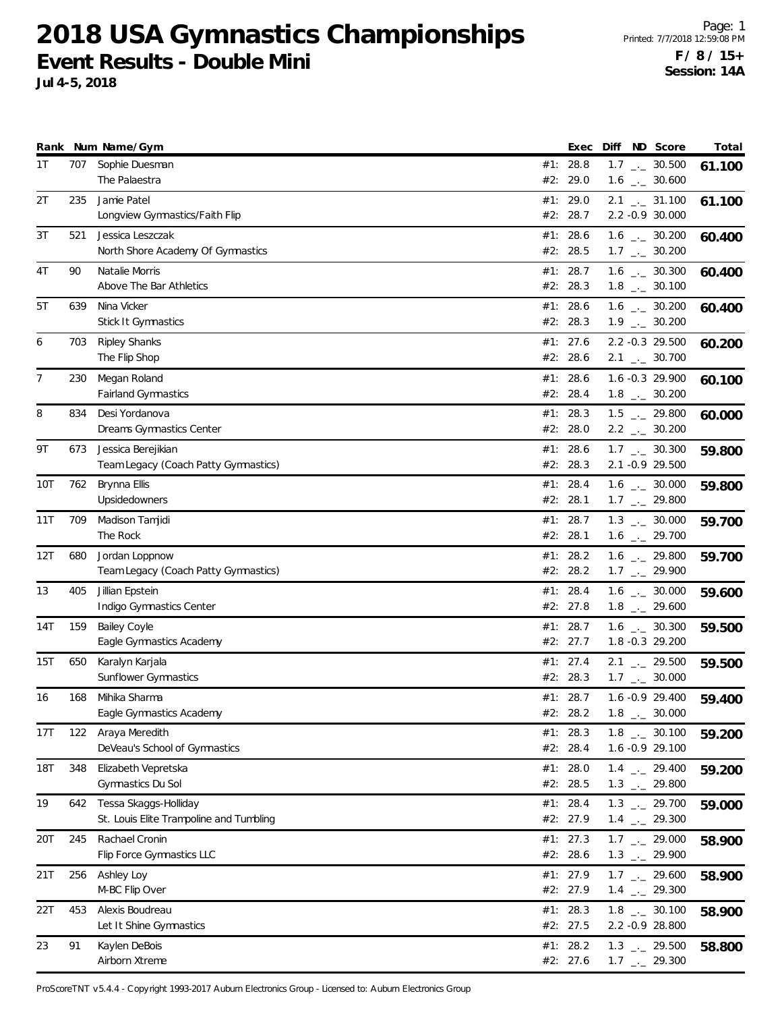**Jul 4-5, 2018**

|     |     | Rank Num Name/Gym                                                |     | Exec                 | Diff | ND Score                                                     | Total  |
|-----|-----|------------------------------------------------------------------|-----|----------------------|------|--------------------------------------------------------------|--------|
| 1T  | 707 | Sophie Duesman<br>The Palaestra                                  |     | #1: 28.8<br>#2: 29.0 |      | $1.7$ $_{\leftarrow}$ 30.500<br>$1.6$ $_{\leftarrow}$ 30.600 | 61.100 |
| 2T  | 235 | Jamie Patel<br>Longview Gymnastics/Faith Flip                    |     | #1: 29.0<br>#2: 28.7 |      | $2.1$ $_{\leftarrow}$ 31.100<br>2.2 -0.9 30.000              | 61.100 |
| 3T  | 521 | Jessica Leszczak<br>North Shore Academy Of Gymnastics            |     | #1: 28.6<br>#2: 28.5 |      | $1.6$ $_{\leftarrow}$ 30.200<br>$1.7$ $_{\leftarrow}$ 30.200 | 60.400 |
| 4T  | 90  | Natalie Morris<br>Above The Bar Athletics                        |     | #1: 28.7<br>#2: 28.3 |      | $1.6$ $_{\leftarrow}$ 30.300<br>$1.8$ $_{\leftarrow}$ 30.100 | 60.400 |
| 5T  | 639 | Nina Vicker<br><b>Stick It Gymnastics</b>                        |     | #1: 28.6<br>#2: 28.3 |      | $1.6$ $_{-}$ 30.200<br>$1.9$ $_{\leftarrow}$ 30.200          | 60.400 |
| 6   | 703 | <b>Ripley Shanks</b><br>The Flip Shop                            |     | #1: 27.6<br>#2: 28.6 |      | 2.2 -0.3 29.500<br>$2.1$ $_{\leftarrow}$ 30.700              | 60.200 |
| 7   | 230 | Megan Roland<br><b>Fairland Gymnastics</b>                       |     | #1: 28.6<br>#2: 28.4 |      | 1.6 -0.3 29.900<br>$1.8$ $_{-}$ 30.200                       | 60.100 |
| 8   | 834 | Desi Yordanova<br>Dreams Gymnastics Center                       |     | #1: 28.3<br>#2: 28.0 |      | $1.5$ $_{\leftarrow}$ 29.800<br>$2.2$ $_{\leftarrow}$ 30.200 | 60.000 |
| 9Τ  | 673 | Jessica Berejikian<br>Team Legacy (Coach Patty Gymnastics)       |     | #1: 28.6<br>#2: 28.3 |      | $1.7$ $_{\leftarrow}$ 30.300<br>2.1 -0.9 29.500              | 59.800 |
| 10T | 762 | Brynna Ellis<br>Upsidedowners                                    |     | #1: 28.4<br>#2: 28.1 |      | $1.6$ $_{\leftarrow}$ 30.000<br>$1.7$ $_{-1}$ 29.800         | 59.800 |
| 11T | 709 | Madison Tamjidi<br>The Rock                                      |     | #1: 28.7<br>#2: 28.1 |      | $1.3$ $_{\leftarrow}$ 30.000<br>$1.6$ $_{\leftarrow}$ 29.700 | 59.700 |
| 12T | 680 | Jordan Loppnow<br>Team Legacy (Coach Patty Gymnastics)           | #1: | 28.2<br>#2: 28.2     |      | $1.6$ $_{-2}$ 29.800<br>$1.7$ $_{-}$ 29.900                  | 59.700 |
| 13  | 405 | Jillian Epstein<br>Indigo Gymnastics Center                      |     | #1: 28.4<br>#2: 27.8 |      | $1.6$ _._ 30.000<br>$1.8$ $_{\leftarrow}$ 29.600             | 59.600 |
| 14T | 159 | <b>Bailey Coyle</b><br>Eagle Gymnastics Academy                  |     | #1: 28.7<br>#2: 27.7 |      | $1.6$ $_{\leftarrow}$ 30.300<br>1.8 -0.3 29.200              | 59.500 |
| 15T | 650 | Karalyn Karjala<br>Sunflower Gymnastics                          |     | #1: 27.4<br>#2: 28.3 |      | $2.1$ $_{-1}$ 29.500<br>$1.7$ $_{\leftarrow}$ 30.000         | 59.500 |
| 16  | 168 | Mihika Sharma<br>Eagle Gymnastics Academy                        |     | #1: 28.7<br>#2: 28.2 |      | $1.6 - 0.9$ 29.400<br>$1.8$ $_{\leftarrow}$ 30.000           | 59.400 |
| 17T | 122 | Araya Meredith<br>DeVeau's School of Gymnastics                  |     | #1: 28.3<br>#2: 28.4 |      | $1.8$ $_{\leftarrow}$ 30.100<br>1.6 -0.9 29.100              | 59.200 |
| 18T | 348 | Elizabeth Vepretska<br>Gymnastics Du Sol                         |     | #1: 28.0<br>#2: 28.5 |      | $1.4$ $_{\leftarrow}$ 29.400<br>$1.3$ $_{\leftarrow}$ 29.800 | 59.200 |
| 19  | 642 | Tessa Skaggs-Holliday<br>St. Louis Elite Trampoline and Tumbling |     | #1: 28.4<br>#2: 27.9 |      | $1.3$ $_{-1}$ 29.700<br>$1.4$ - 29.300                       | 59.000 |
| 20T | 245 | Rachael Cronin<br>Flip Force Gymnastics LLC                      |     | #1: 27.3<br>#2: 28.6 |      | $1.7$ $_{\leftarrow}$ 29.000<br>$1.3$ $_{\leftarrow}$ 29.900 | 58.900 |
| 21T | 256 | Ashley Loy<br>M-BC Flip Over                                     |     | #1: 27.9<br>#2: 27.9 |      | $1.7$ $_{\leftarrow}$ 29.600<br>$1.4$ $_{\leftarrow}$ 29.300 | 58.900 |
| 22T | 453 | Alexis Boudreau<br>Let It Shine Gymnastics                       |     | #1: 28.3<br>#2: 27.5 |      | $1.8$ $_{\leftarrow}$ 30.100<br>2.2 -0.9 28.800              | 58.900 |
| 23  | 91  | Kaylen DeBois<br>Airborn Xtreme                                  |     | #1: 28.2<br>#2: 27.6 |      | $1.3$ $_{\leftarrow}$ 29.500<br>$1.7$ $_{\leftarrow}$ 29.300 | 58.800 |

ProScoreTNT v5.4.4 - Copyright 1993-2017 Auburn Electronics Group - Licensed to: Auburn Electronics Group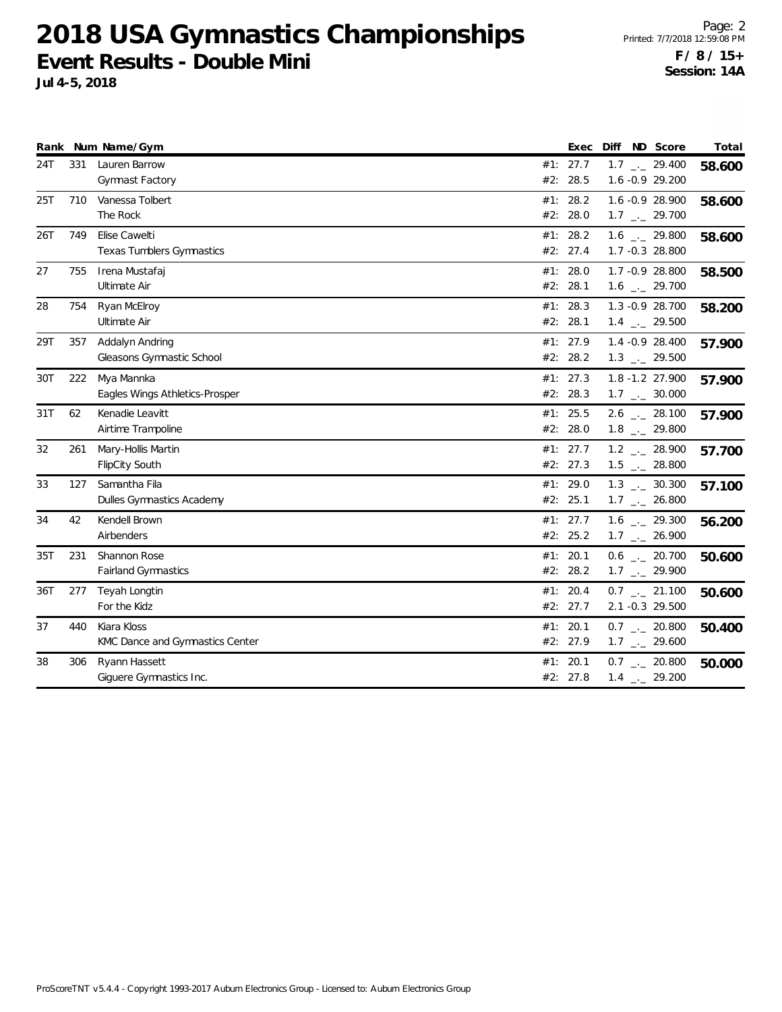| Rank |     | Num Name/Gym                                      | Exec                   | Diff                                                         | ND Score | Total  |
|------|-----|---------------------------------------------------|------------------------|--------------------------------------------------------------|----------|--------|
| 24T  | 331 | Lauren Barrow<br><b>Gymnast Factory</b>           | #1: 27.7<br>#2: 28.5   | $1.7$ $_{\leftarrow}$ 29.400<br>1.6 -0.9 29.200              |          | 58.600 |
| 25T  | 710 | Vanessa Tolbert<br>The Rock                       | #1: 28.2<br>#2: 28.0   | 1.6 -0.9 28.900<br>$1.7$ $_{\leftarrow}$ 29.700              |          | 58.600 |
| 26T  | 749 | Elise Cawelti<br><b>Texas Tumblers Gymnastics</b> | #1: 28.2<br>#2: 27.4   | $1.6$ $_{\leftarrow}$ 29.800<br>1.7 -0.3 28.800              |          | 58.600 |
| 27   | 755 | Irena Mustafaj<br>Ultimate Air                    | #1: $28.0$<br>#2: 28.1 | 1.7 -0.9 28.800<br>$1.6$ $_{\leftarrow}$ 29.700              |          | 58.500 |
| 28   | 754 | Ryan McElroy<br>Ultimate Air                      | #1: 28.3<br>#2: 28.1   | 1.3 - 0.9 28.700<br>$1.4$ $_{\leftarrow}$ 29.500             |          | 58.200 |
| 29T  | 357 | Addalyn Andring<br>Gleasons Gymnastic School      | #1: 27.9<br>#2: 28.2   | 1.4 -0.9 28.400<br>$1.3$ $_{\leftarrow}$ 29.500              |          | 57.900 |
| 30T  | 222 | Mya Mannka<br>Eagles Wings Athletics-Prosper      | #1: 27.3<br>#2: 28.3   | 1.8 -1.2 27.900<br>$1.7$ $_{\leftarrow}$ 30.000              |          | 57.900 |
| 31T  | 62  | Kenadie Leavitt<br>Airtime Trampoline             | #1: 25.5<br>#2: 28.0   | $2.6$ $_{\leftarrow}$ 28.100<br>$1.8$ $_{-}$ 29.800          |          | 57.900 |
| 32   | 261 | Mary-Hollis Martin<br><b>FlipCity South</b>       | #1: 27.7<br>#2: 27.3   | $1.2$ $_{\leftarrow}$ 28.900<br>$1.5$ $_{\leftarrow}$ 28.800 |          | 57.700 |
| 33   | 127 | Samantha Fila<br>Dulles Gymnastics Academy        | #1: 29.0<br>#2: 25.1   | $1.3$ $_{\leftarrow}$ 30.300<br>$1.7$ _ 26.800               |          | 57.100 |
| 34   | 42  | Kendell Brown<br>Airbenders                       | #1: 27.7<br>#2: 25.2   | $1.6$ $_{-1}$ 29.300<br>$1.7$ $_{\leftarrow}$ 26.900         |          | 56.200 |
| 35T  | 231 | Shannon Rose<br><b>Fairland Gymnastics</b>        | #1: 20.1<br>#2: 28.2   | $0.6$ $_{\leftarrow}$ 20.700<br>$1.7$ $_{\leftarrow}$ 29.900 |          | 50.600 |
| 36T  | 277 | Teyah Longtin<br>For the Kidz                     | #1: 20.4<br>#2: 27.7   | $0.7$ $_{\leftarrow}$ 21.100<br>2.1 -0.3 29.500              |          | 50.600 |
| 37   | 440 | Kiara Kloss<br>KMC Dance and Gymnastics Center    | #1: 20.1<br>#2: 27.9   | $0.7$ $_{\leftarrow}$ 20.800<br>$1.7$ $_{\leftarrow}$ 29.600 |          | 50.400 |
| 38   | 306 | Ryann Hassett<br>Giguere Gymnastics Inc.          | #1: 20.1<br>#2: 27.8   | $0.7$ _ 20.800<br>$1.4$ $_{\leftarrow}$ 29.200               |          | 50.000 |